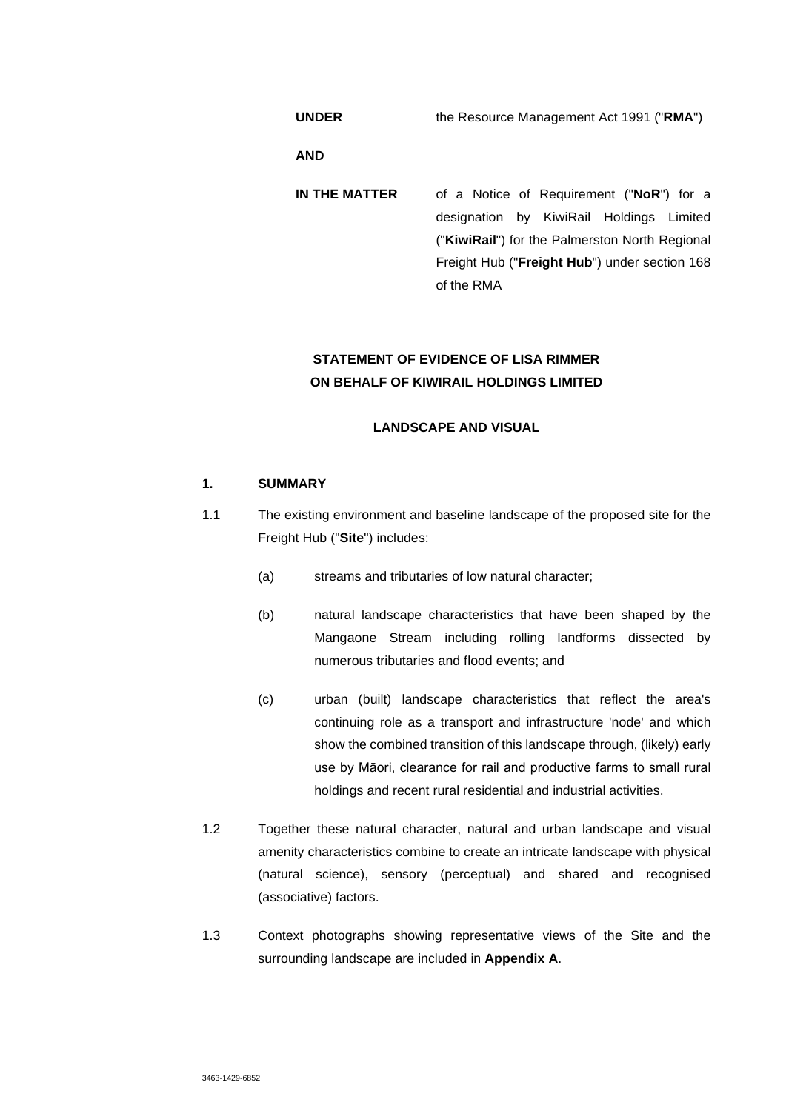**UNDER** the Resource Management Act 1991 ("**RMA**")

**AND** 

**IN THE MATTER** of a Notice of Requirement ("**NoR**") for a designation by KiwiRail Holdings Limited ("**KiwiRail**") for the Palmerston North Regional Freight Hub ("**Freight Hub**") under section 168 of the RMA

# **STATEMENT OF EVIDENCE OF LISA RIMMER ON BEHALF OF KIWIRAIL HOLDINGS LIMITED**

# **LANDSCAPE AND VISUAL**

# **1. SUMMARY**

- 1.1 The existing environment and baseline landscape of the proposed site for the Freight Hub ("**Site**") includes:
	- (a) streams and tributaries of low natural character;
	- (b) natural landscape characteristics that have been shaped by the Mangaone Stream including rolling landforms dissected by numerous tributaries and flood events; and
	- (c) urban (built) landscape characteristics that reflect the area's continuing role as a transport and infrastructure 'node' and which show the combined transition of this landscape through, (likely) early use by Māori, clearance for rail and productive farms to small rural holdings and recent rural residential and industrial activities.
- 1.2 Together these natural character, natural and urban landscape and visual amenity characteristics combine to create an intricate landscape with physical (natural science), sensory (perceptual) and shared and recognised (associative) factors.
- 1.3 Context photographs showing representative views of the Site and the surrounding landscape are included in **Appendix A**.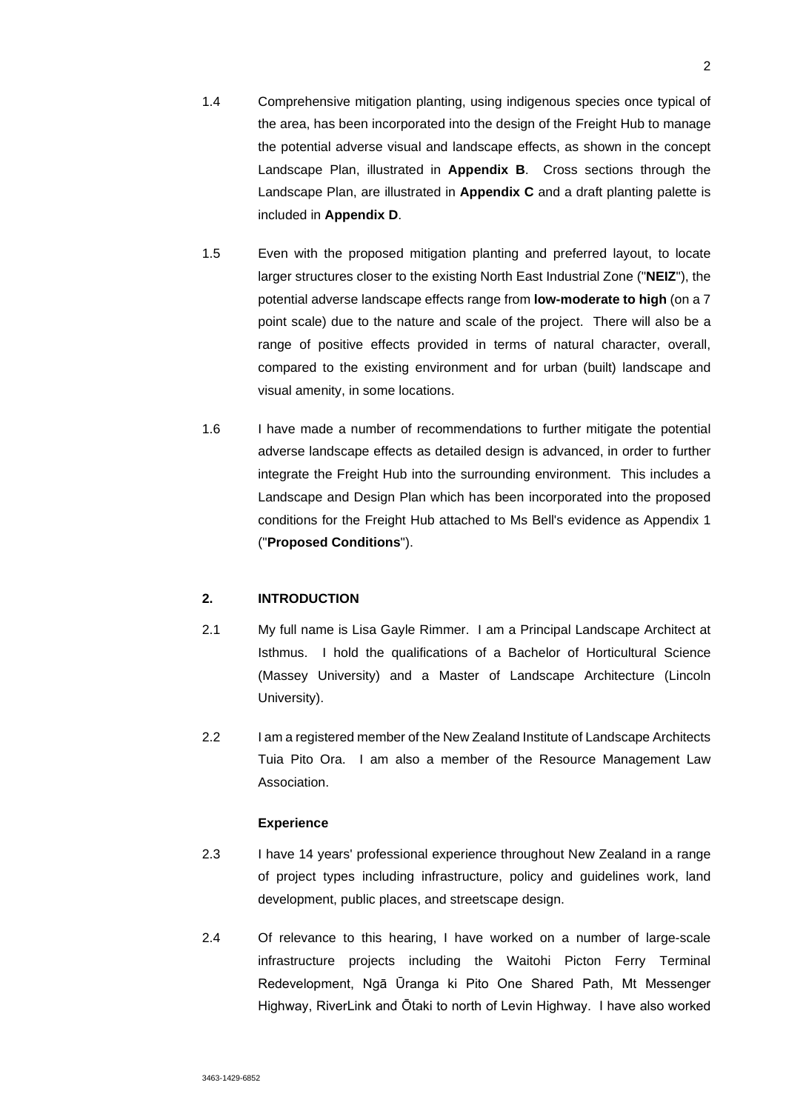- 1.4 Comprehensive mitigation planting, using indigenous species once typical of the area, has been incorporated into the design of the Freight Hub to manage the potential adverse visual and landscape effects, as shown in the concept Landscape Plan, illustrated in **Appendix B**. Cross sections through the Landscape Plan, are illustrated in **Appendix C** and a draft planting palette is included in **Appendix D**.
- 1.5 Even with the proposed mitigation planting and preferred layout, to locate larger structures closer to the existing North East Industrial Zone ("**NEIZ**"), the potential adverse landscape effects range from **low-moderate to high** (on a 7 point scale) due to the nature and scale of the project. There will also be a range of positive effects provided in terms of natural character, overall, compared to the existing environment and for urban (built) landscape and visual amenity, in some locations.
- 1.6 I have made a number of recommendations to further mitigate the potential adverse landscape effects as detailed design is advanced, in order to further integrate the Freight Hub into the surrounding environment. This includes a Landscape and Design Plan which has been incorporated into the proposed conditions for the Freight Hub attached to Ms Bell's evidence as Appendix 1 ("**Proposed Conditions**").

# **2. INTRODUCTION**

- 2.1 My full name is Lisa Gayle Rimmer. I am a Principal Landscape Architect at Isthmus. I hold the qualifications of a Bachelor of Horticultural Science (Massey University) and a Master of Landscape Architecture (Lincoln University).
- 2.2 I am a registered member of the New Zealand Institute of Landscape Architects Tuia Pito Ora. I am also a member of the Resource Management Law Association.

## **Experience**

- 2.3 I have 14 years' professional experience throughout New Zealand in a range of project types including infrastructure, policy and guidelines work, land development, public places, and streetscape design.
- 2.4 Of relevance to this hearing, I have worked on a number of large-scale infrastructure projects including the Waitohi Picton Ferry Terminal Redevelopment, Ngā Ūranga ki Pito One Shared Path, Mt Messenger Highway, RiverLink and Ōtaki to north of Levin Highway. I have also worked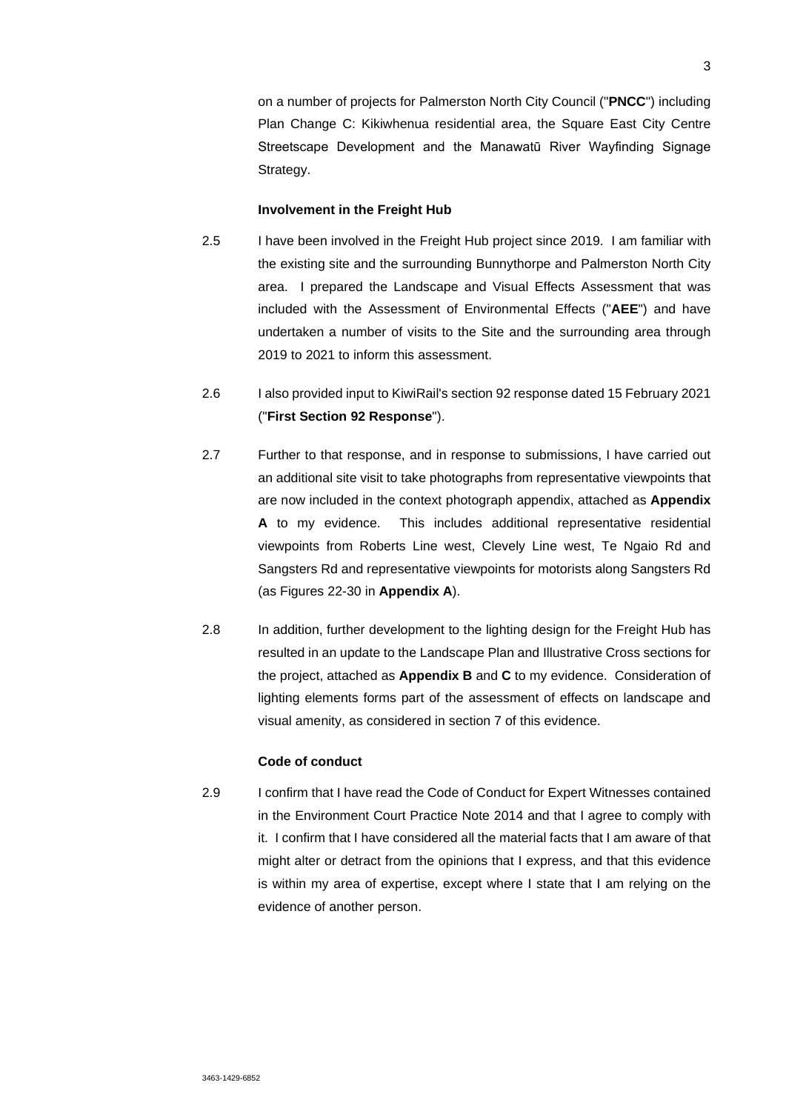on a number of projects for Palmerston North City Council ("**PNCC**") including Plan Change C: Kikiwhenua residential area, the Square East City Centre Streetscape Development and the Manawatū River Wayfinding Signage Strategy.

### **Involvement in the Freight Hub**

- 2.5 I have been involved in the Freight Hub project since 2019. I am familiar with the existing site and the surrounding Bunnythorpe and Palmerston North City area. I prepared the Landscape and Visual Effects Assessment that was included with the Assessment of Environmental Effects ("**AEE**") and have undertaken a number of visits to the Site and the surrounding area through 2019 to 2021 to inform this assessment.
- 2.6 I also provided input to KiwiRail's section 92 response dated 15 February 2021 ("**First Section 92 Response**").
- 2.7 Further to that response, and in response to submissions, I have carried out an additional site visit to take photographs from representative viewpoints that are now included in the context photograph appendix, attached as **Appendix A** to my evidence. This includes additional representative residential viewpoints from Roberts Line west, Clevely Line west, Te Ngaio Rd and Sangsters Rd and representative viewpoints for motorists along Sangsters Rd (as Figures 22-30 in **Appendix A**).
- 2.8 In addition, further development to the lighting design for the Freight Hub has resulted in an update to the Landscape Plan and Illustrative Cross sections for the project, attached as **Appendix B** and **C** to my evidence. Consideration of lighting elements forms part of the assessment of effects on landscape and visual amenity, as considered in section 7 of this evidence.

# **Code of conduct**

2.9 I confirm that I have read the Code of Conduct for Expert Witnesses contained in the Environment Court Practice Note 2014 and that I agree to comply with it. I confirm that I have considered all the material facts that I am aware of that might alter or detract from the opinions that I express, and that this evidence is within my area of expertise, except where I state that I am relying on the evidence of another person.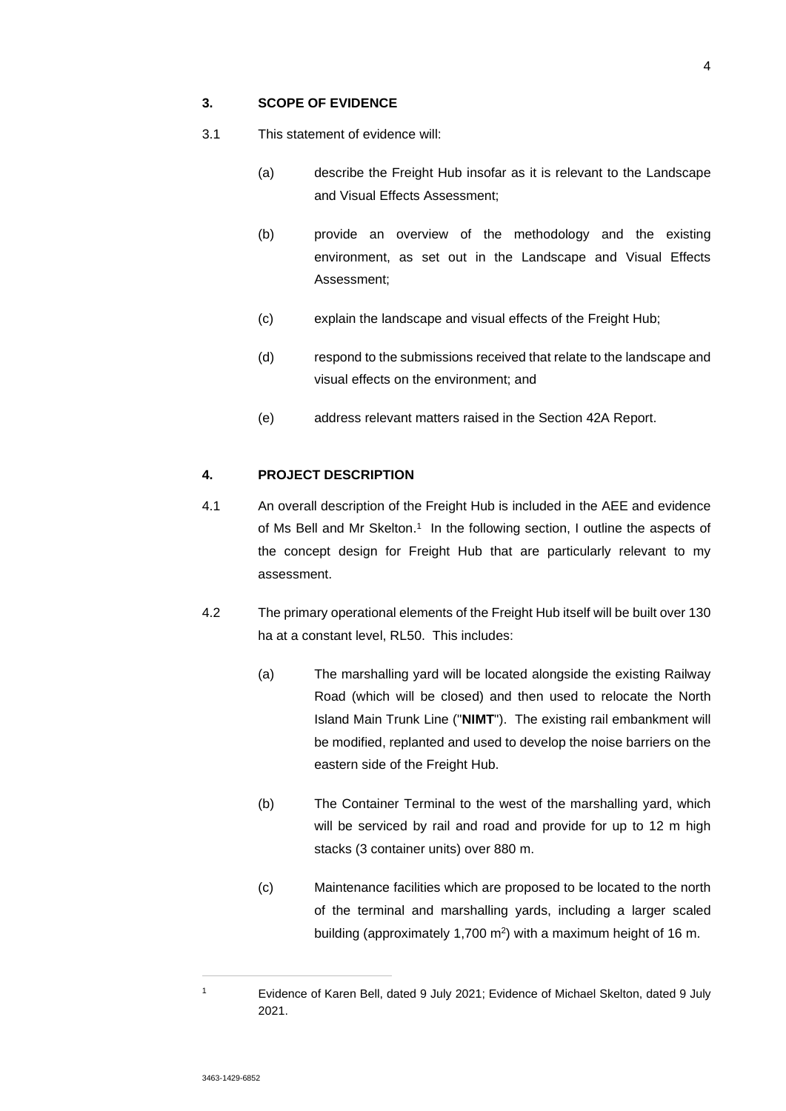# **3. SCOPE OF EVIDENCE**

- 3.1 This statement of evidence will:
	- (a) describe the Freight Hub insofar as it is relevant to the Landscape and Visual Effects Assessment;
	- (b) provide an overview of the methodology and the existing environment, as set out in the Landscape and Visual Effects Assessment;
	- (c) explain the landscape and visual effects of the Freight Hub;
	- (d) respond to the submissions received that relate to the landscape and visual effects on the environment; and
	- (e) address relevant matters raised in the Section 42A Report.

## **4. PROJECT DESCRIPTION**

- 4.1 An overall description of the Freight Hub is included in the AEE and evidence of Ms Bell and Mr Skelton.<sup>1</sup> In the following section, I outline the aspects of the concept design for Freight Hub that are particularly relevant to my assessment.
- 4.2 The primary operational elements of the Freight Hub itself will be built over 130 ha at a constant level, RL50. This includes:
	- (a) The marshalling yard will be located alongside the existing Railway Road (which will be closed) and then used to relocate the North Island Main Trunk Line ("**NIMT**"). The existing rail embankment will be modified, replanted and used to develop the noise barriers on the eastern side of the Freight Hub.
	- (b) The Container Terminal to the west of the marshalling yard, which will be serviced by rail and road and provide for up to 12 m high stacks (3 container units) over 880 m.
	- (c) Maintenance facilities which are proposed to be located to the north of the terminal and marshalling yards, including a larger scaled building (approximately 1,700 m<sup>2</sup>) with a maximum height of 16 m.

1

Evidence of Karen Bell, dated 9 July 2021; Evidence of Michael Skelton, dated 9 July 2021.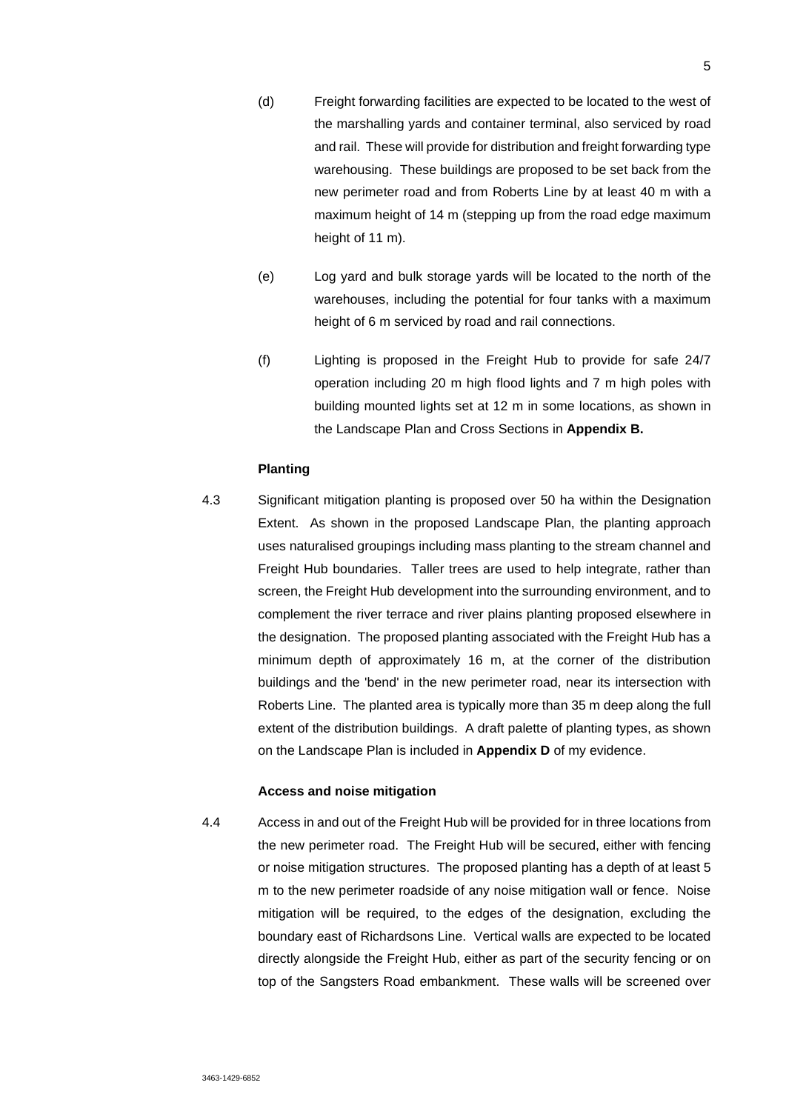- (d) Freight forwarding facilities are expected to be located to the west of the marshalling yards and container terminal, also serviced by road and rail. These will provide for distribution and freight forwarding type warehousing. These buildings are proposed to be set back from the new perimeter road and from Roberts Line by at least 40 m with a maximum height of 14 m (stepping up from the road edge maximum height of 11 m).
- (e) Log yard and bulk storage yards will be located to the north of the warehouses, including the potential for four tanks with a maximum height of 6 m serviced by road and rail connections.
- (f) Lighting is proposed in the Freight Hub to provide for safe 24/7 operation including 20 m high flood lights and 7 m high poles with building mounted lights set at 12 m in some locations, as shown in the Landscape Plan and Cross Sections in **Appendix B.**

### **Planting**

4.3 Significant mitigation planting is proposed over 50 ha within the Designation Extent. As shown in the proposed Landscape Plan, the planting approach uses naturalised groupings including mass planting to the stream channel and Freight Hub boundaries. Taller trees are used to help integrate, rather than screen, the Freight Hub development into the surrounding environment, and to complement the river terrace and river plains planting proposed elsewhere in the designation. The proposed planting associated with the Freight Hub has a minimum depth of approximately 16 m, at the corner of the distribution buildings and the 'bend' in the new perimeter road, near its intersection with Roberts Line. The planted area is typically more than 35 m deep along the full extent of the distribution buildings. A draft palette of planting types, as shown on the Landscape Plan is included in **Appendix D** of my evidence.

## **Access and noise mitigation**

4.4 Access in and out of the Freight Hub will be provided for in three locations from the new perimeter road. The Freight Hub will be secured, either with fencing or noise mitigation structures. The proposed planting has a depth of at least 5 m to the new perimeter roadside of any noise mitigation wall or fence. Noise mitigation will be required, to the edges of the designation, excluding the boundary east of Richardsons Line. Vertical walls are expected to be located directly alongside the Freight Hub, either as part of the security fencing or on top of the Sangsters Road embankment. These walls will be screened over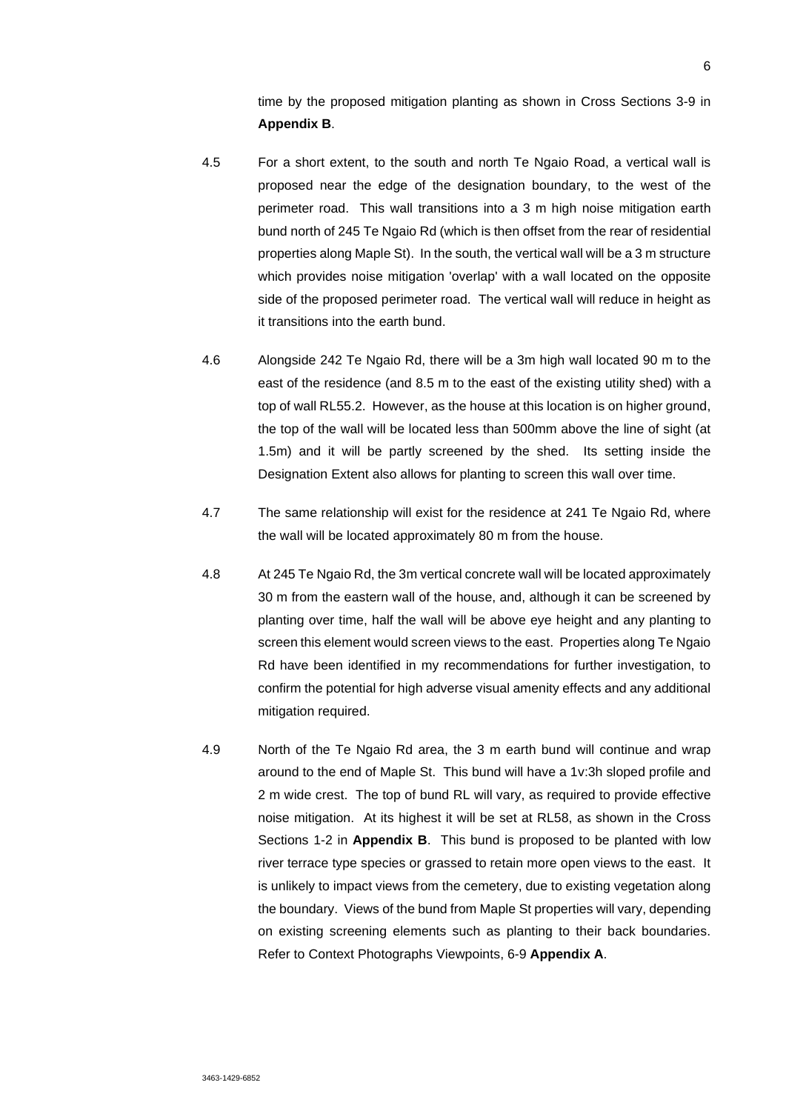time by the proposed mitigation planting as shown in Cross Sections 3-9 in **Appendix B**.

- 4.5 For a short extent, to the south and north Te Ngaio Road, a vertical wall is proposed near the edge of the designation boundary, to the west of the perimeter road. This wall transitions into a 3 m high noise mitigation earth bund north of 245 Te Ngaio Rd (which is then offset from the rear of residential properties along Maple St). In the south, the vertical wall will be a 3 m structure which provides noise mitigation 'overlap' with a wall located on the opposite side of the proposed perimeter road. The vertical wall will reduce in height as it transitions into the earth bund.
- 4.6 Alongside 242 Te Ngaio Rd, there will be a 3m high wall located 90 m to the east of the residence (and 8.5 m to the east of the existing utility shed) with a top of wall RL55.2. However, as the house at this location is on higher ground, the top of the wall will be located less than 500mm above the line of sight (at 1.5m) and it will be partly screened by the shed. Its setting inside the Designation Extent also allows for planting to screen this wall over time.
- 4.7 The same relationship will exist for the residence at 241 Te Ngaio Rd, where the wall will be located approximately 80 m from the house.
- 4.8 At 245 Te Ngaio Rd, the 3m vertical concrete wall will be located approximately 30 m from the eastern wall of the house, and, although it can be screened by planting over time, half the wall will be above eye height and any planting to screen this element would screen views to the east. Properties along Te Ngaio Rd have been identified in my recommendations for further investigation, to confirm the potential for high adverse visual amenity effects and any additional mitigation required.
- 4.9 North of the Te Ngaio Rd area, the 3 m earth bund will continue and wrap around to the end of Maple St. This bund will have a 1v:3h sloped profile and 2 m wide crest. The top of bund RL will vary, as required to provide effective noise mitigation. At its highest it will be set at RL58, as shown in the Cross Sections 1-2 in **Appendix B**. This bund is proposed to be planted with low river terrace type species or grassed to retain more open views to the east. It is unlikely to impact views from the cemetery, due to existing vegetation along the boundary. Views of the bund from Maple St properties will vary, depending on existing screening elements such as planting to their back boundaries. Refer to Context Photographs Viewpoints, 6-9 **Appendix A**.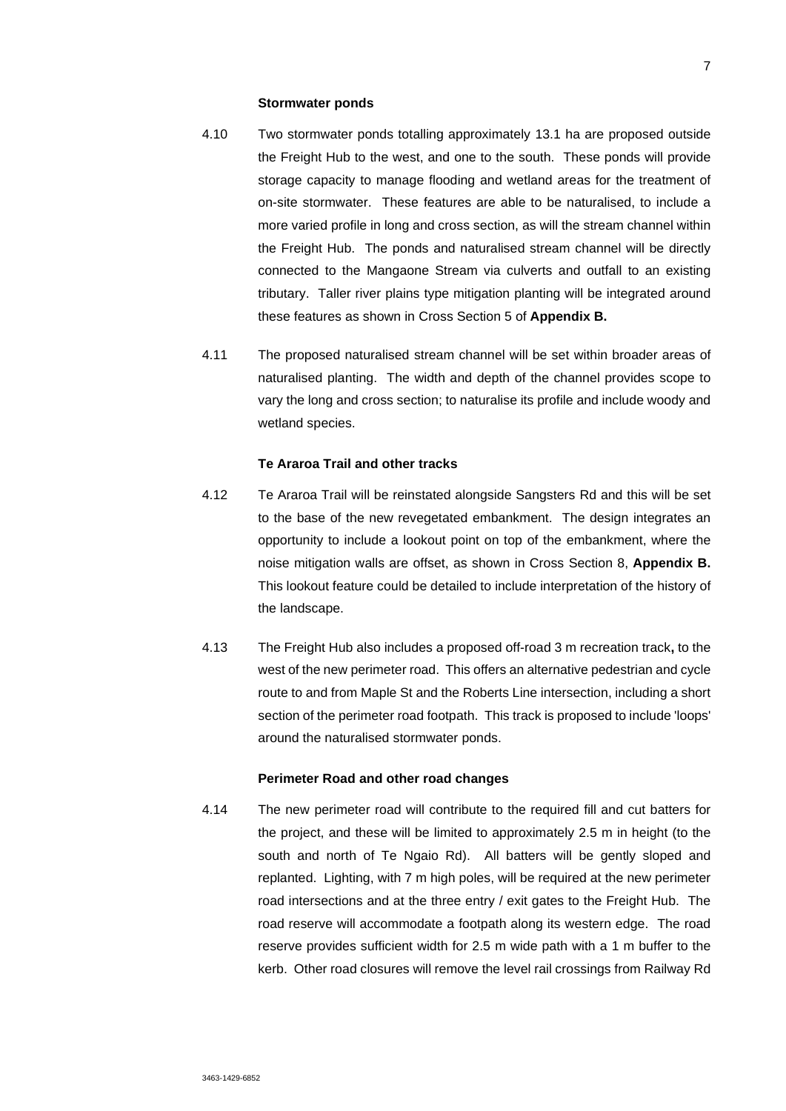#### **Stormwater ponds**

- 4.10 Two stormwater ponds totalling approximately 13.1 ha are proposed outside the Freight Hub to the west, and one to the south. These ponds will provide storage capacity to manage flooding and wetland areas for the treatment of on-site stormwater. These features are able to be naturalised, to include a more varied profile in long and cross section, as will the stream channel within the Freight Hub. The ponds and naturalised stream channel will be directly connected to the Mangaone Stream via culverts and outfall to an existing tributary. Taller river plains type mitigation planting will be integrated around these features as shown in Cross Section 5 of **Appendix B.**
- 4.11 The proposed naturalised stream channel will be set within broader areas of naturalised planting. The width and depth of the channel provides scope to vary the long and cross section; to naturalise its profile and include woody and wetland species.

### **Te Araroa Trail and other tracks**

- 4.12 Te Araroa Trail will be reinstated alongside Sangsters Rd and this will be set to the base of the new revegetated embankment. The design integrates an opportunity to include a lookout point on top of the embankment, where the noise mitigation walls are offset, as shown in Cross Section 8, **Appendix B.**  This lookout feature could be detailed to include interpretation of the history of the landscape.
- 4.13 The Freight Hub also includes a proposed off-road 3 m recreation track**,** to the west of the new perimeter road. This offers an alternative pedestrian and cycle route to and from Maple St and the Roberts Line intersection, including a short section of the perimeter road footpath. This track is proposed to include 'loops' around the naturalised stormwater ponds.

## **Perimeter Road and other road changes**

4.14 The new perimeter road will contribute to the required fill and cut batters for the project, and these will be limited to approximately 2.5 m in height (to the south and north of Te Ngaio Rd). All batters will be gently sloped and replanted. Lighting, with 7 m high poles, will be required at the new perimeter road intersections and at the three entry / exit gates to the Freight Hub. The road reserve will accommodate a footpath along its western edge. The road reserve provides sufficient width for 2.5 m wide path with a 1 m buffer to the kerb. Other road closures will remove the level rail crossings from Railway Rd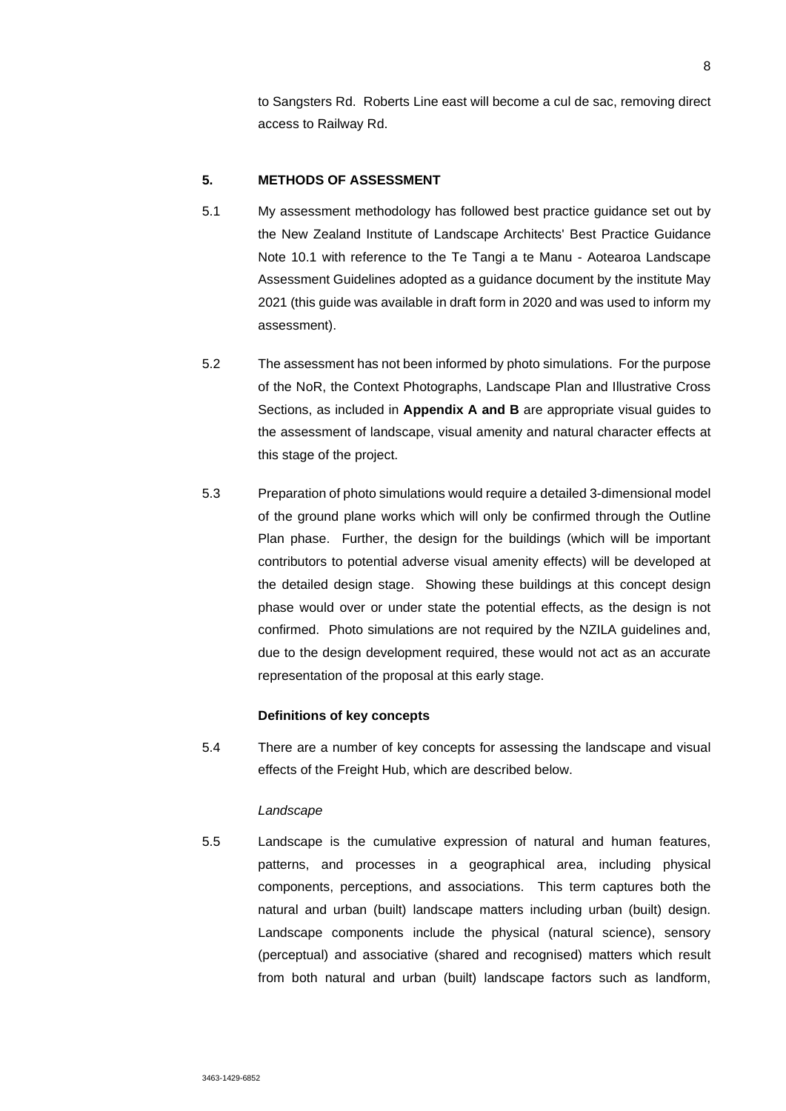to Sangsters Rd. Roberts Line east will become a cul de sac, removing direct access to Railway Rd.

# **5. METHODS OF ASSESSMENT**

- 5.1 My assessment methodology has followed best practice guidance set out by the New Zealand Institute of Landscape Architects' Best Practice Guidance Note 10.1 with reference to the Te Tangi a te Manu - Aotearoa Landscape Assessment Guidelines adopted as a guidance document by the institute May 2021 (this guide was available in draft form in 2020 and was used to inform my assessment).
- 5.2 The assessment has not been informed by photo simulations. For the purpose of the NoR, the Context Photographs, Landscape Plan and Illustrative Cross Sections, as included in **Appendix A and B** are appropriate visual guides to the assessment of landscape, visual amenity and natural character effects at this stage of the project.
- 5.3 Preparation of photo simulations would require a detailed 3-dimensional model of the ground plane works which will only be confirmed through the Outline Plan phase. Further, the design for the buildings (which will be important contributors to potential adverse visual amenity effects) will be developed at the detailed design stage. Showing these buildings at this concept design phase would over or under state the potential effects, as the design is not confirmed. Photo simulations are not required by the NZILA quidelines and, due to the design development required, these would not act as an accurate representation of the proposal at this early stage.

# **Definitions of key concepts**

5.4 There are a number of key concepts for assessing the landscape and visual effects of the Freight Hub, which are described below.

#### *Landscape*

5.5 Landscape is the cumulative expression of natural and human features, patterns, and processes in a geographical area, including physical components, perceptions, and associations. This term captures both the natural and urban (built) landscape matters including urban (built) design. Landscape components include the physical (natural science), sensory (perceptual) and associative (shared and recognised) matters which result from both natural and urban (built) landscape factors such as landform,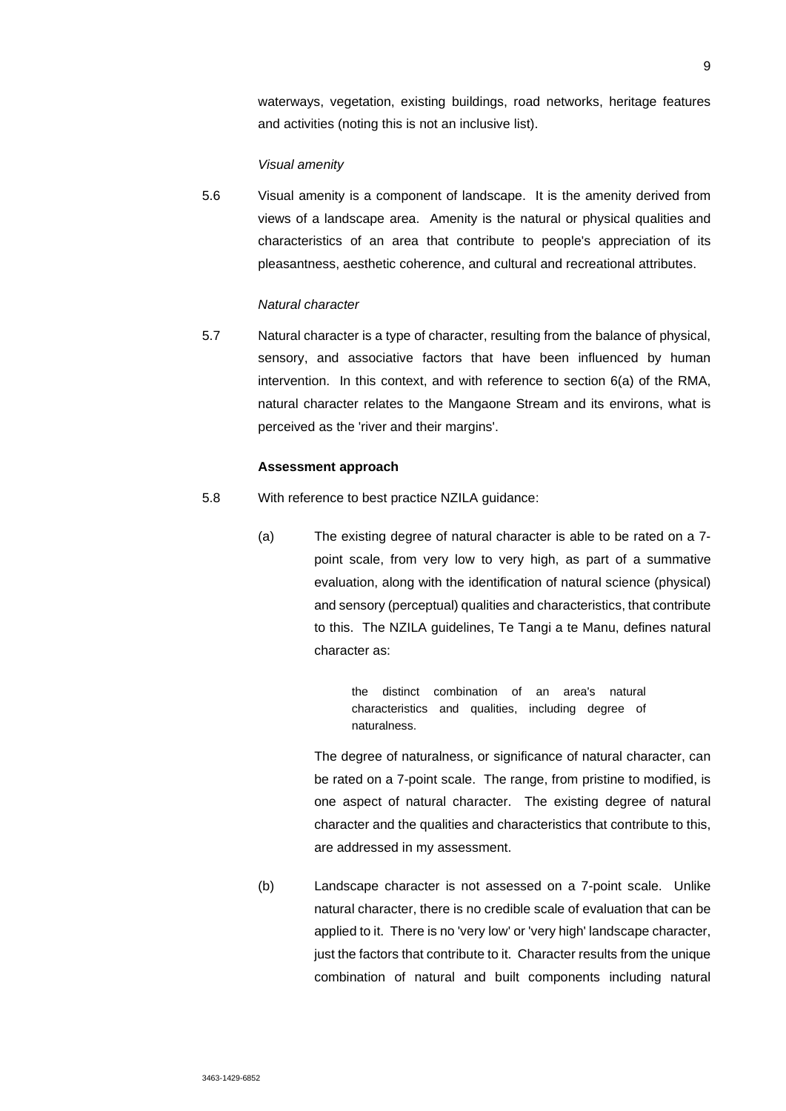waterways, vegetation, existing buildings, road networks, heritage features and activities (noting this is not an inclusive list).

# *Visual amenity*

5.6 Visual amenity is a component of landscape. It is the amenity derived from views of a landscape area. Amenity is the natural or physical qualities and characteristics of an area that contribute to people's appreciation of its pleasantness, aesthetic coherence, and cultural and recreational attributes.

### *Natural character*

5.7 Natural character is a type of character, resulting from the balance of physical, sensory, and associative factors that have been influenced by human intervention. In this context, and with reference to section 6(a) of the RMA, natural character relates to the Mangaone Stream and its environs, what is perceived as the 'river and their margins'.

### **Assessment approach**

- 5.8 With reference to best practice NZILA guidance:
	- (a) The existing degree of natural character is able to be rated on a 7 point scale, from very low to very high, as part of a summative evaluation, along with the identification of natural science (physical) and sensory (perceptual) qualities and characteristics, that contribute to this. The NZILA guidelines, Te Tangi a te Manu, defines natural character as:

the distinct combination of an area's natural characteristics and qualities, including degree of naturalness.

The degree of naturalness, or significance of natural character, can be rated on a 7-point scale. The range, from pristine to modified, is one aspect of natural character. The existing degree of natural character and the qualities and characteristics that contribute to this, are addressed in my assessment.

(b) Landscape character is not assessed on a 7-point scale. Unlike natural character, there is no credible scale of evaluation that can be applied to it. There is no 'very low' or 'very high' landscape character, just the factors that contribute to it. Character results from the unique combination of natural and built components including natural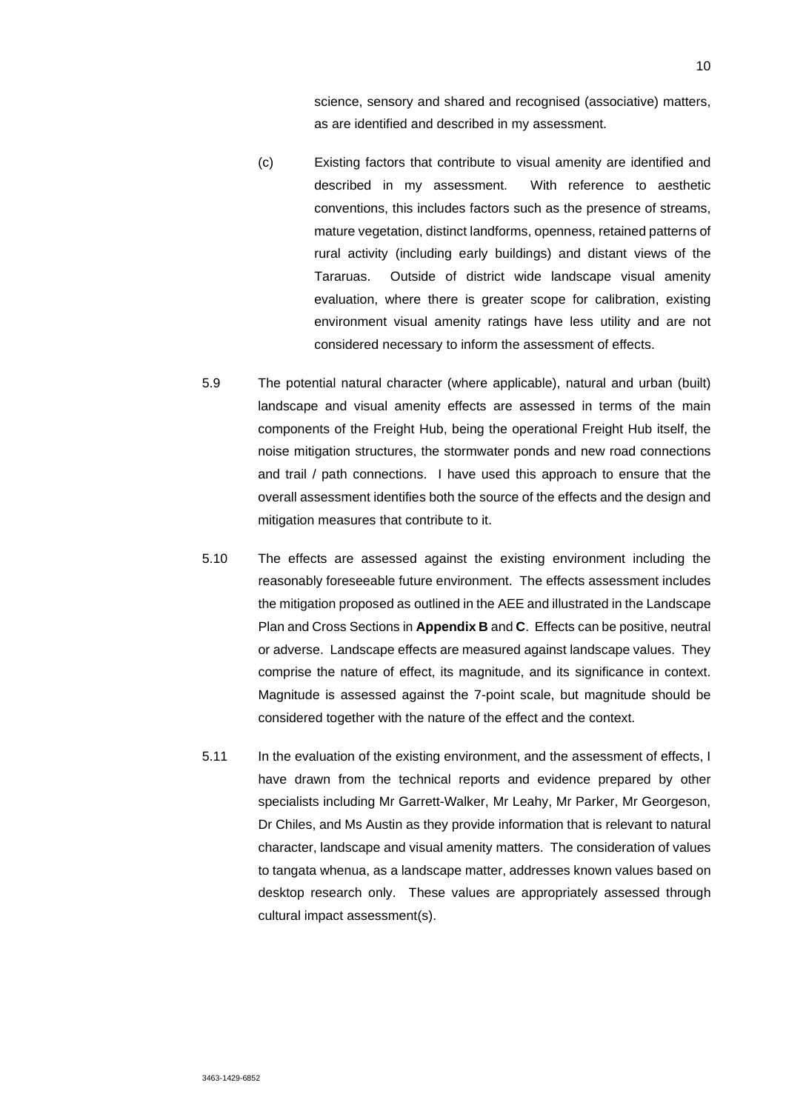science, sensory and shared and recognised (associative) matters, as are identified and described in my assessment.

- (c) Existing factors that contribute to visual amenity are identified and described in my assessment. With reference to aesthetic conventions, this includes factors such as the presence of streams, mature vegetation, distinct landforms, openness, retained patterns of rural activity (including early buildings) and distant views of the Tararuas. Outside of district wide landscape visual amenity evaluation, where there is greater scope for calibration, existing environment visual amenity ratings have less utility and are not considered necessary to inform the assessment of effects.
- 5.9 The potential natural character (where applicable), natural and urban (built) landscape and visual amenity effects are assessed in terms of the main components of the Freight Hub, being the operational Freight Hub itself, the noise mitigation structures, the stormwater ponds and new road connections and trail / path connections. I have used this approach to ensure that the overall assessment identifies both the source of the effects and the design and mitigation measures that contribute to it.
- 5.10 The effects are assessed against the existing environment including the reasonably foreseeable future environment. The effects assessment includes the mitigation proposed as outlined in the AEE and illustrated in the Landscape Plan and Cross Sections in **Appendix B** and **C**. Effects can be positive, neutral or adverse. Landscape effects are measured against landscape values. They comprise the nature of effect, its magnitude, and its significance in context. Magnitude is assessed against the 7-point scale, but magnitude should be considered together with the nature of the effect and the context.
- 5.11 In the evaluation of the existing environment, and the assessment of effects, I have drawn from the technical reports and evidence prepared by other specialists including Mr Garrett-Walker, Mr Leahy, Mr Parker, Mr Georgeson, Dr Chiles, and Ms Austin as they provide information that is relevant to natural character, landscape and visual amenity matters. The consideration of values to tangata whenua, as a landscape matter, addresses known values based on desktop research only. These values are appropriately assessed through cultural impact assessment(s).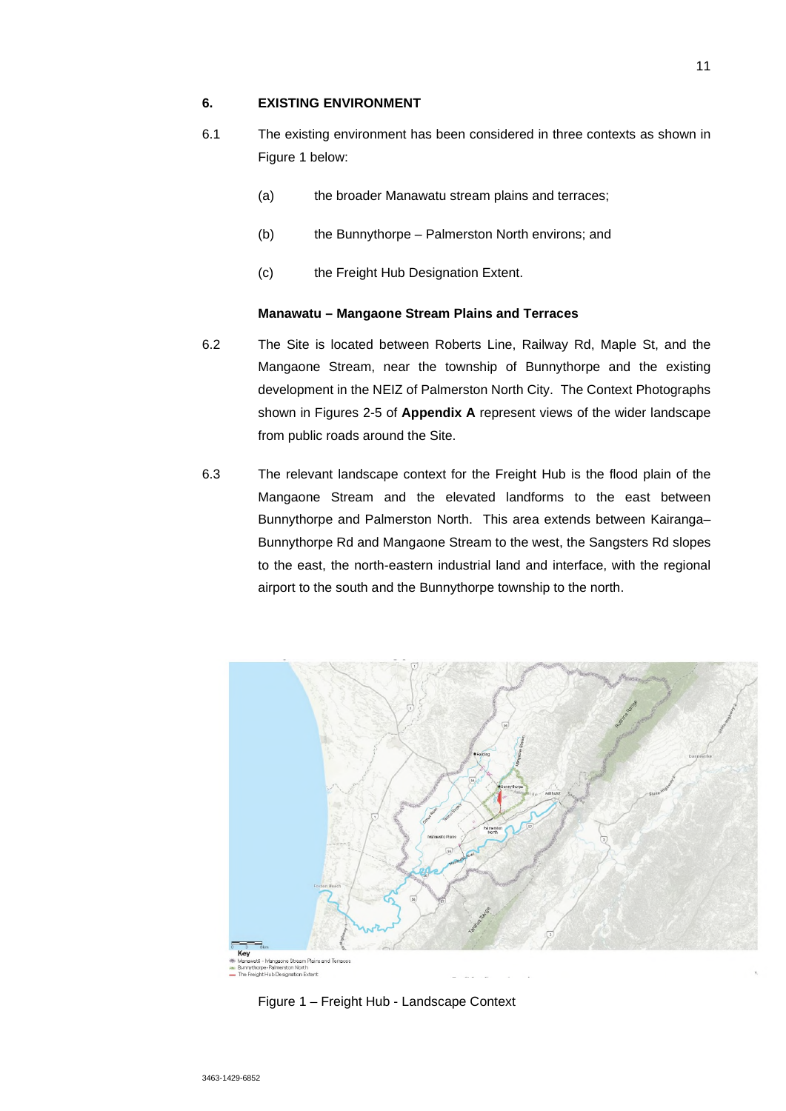# **6. EXISTING ENVIRONMENT**

- 6.1 The existing environment has been considered in three contexts as shown in Figure 1 below:
	- (a) the broader Manawatu stream plains and terraces;
	- (b) the Bunnythorpe Palmerston North environs; and
	- (c) the Freight Hub Designation Extent.

# **Manawatu – Mangaone Stream Plains and Terraces**

- 6.2 The Site is located between Roberts Line, Railway Rd, Maple St, and the Mangaone Stream, near the township of Bunnythorpe and the existing development in the NEIZ of Palmerston North City. The Context Photographs shown in Figures 2-5 of **Appendix A** represent views of the wider landscape from public roads around the Site.
- 6.3 The relevant landscape context for the Freight Hub is the flood plain of the Mangaone Stream and the elevated landforms to the east between Bunnythorpe and Palmerston North. This area extends between Kairanga– Bunnythorpe Rd and Mangaone Stream to the west, the Sangsters Rd slopes to the east, the north-eastern industrial land and interface, with the regional airport to the south and the Bunnythorpe township to the north.



Figure 1 – Freight Hub - Landscape Context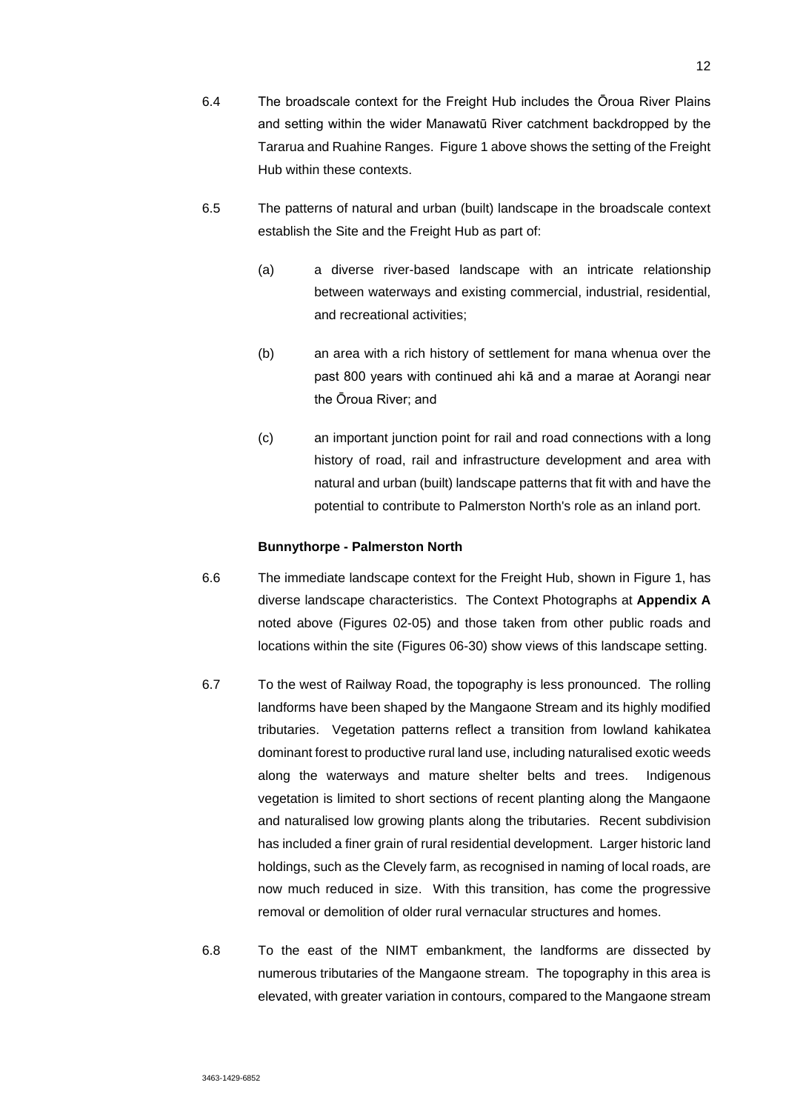- 6.4 The broadscale context for the Freight Hub includes the Ōroua River Plains and setting within the wider Manawatū River catchment backdropped by the Tararua and Ruahine Ranges. Figure 1 above shows the setting of the Freight Hub within these contexts.
- 6.5 The patterns of natural and urban (built) landscape in the broadscale context establish the Site and the Freight Hub as part of:
	- (a) a diverse river-based landscape with an intricate relationship between waterways and existing commercial, industrial, residential, and recreational activities;
	- (b) an area with a rich history of settlement for mana whenua over the past 800 years with continued ahi kā and a marae at Aorangi near the Ōroua River; and
	- (c) an important junction point for rail and road connections with a long history of road, rail and infrastructure development and area with natural and urban (built) landscape patterns that fit with and have the potential to contribute to Palmerston North's role as an inland port.

#### **Bunnythorpe - Palmerston North**

- 6.6 The immediate landscape context for the Freight Hub, shown in Figure 1, has diverse landscape characteristics. The Context Photographs at **Appendix A** noted above (Figures 02-05) and those taken from other public roads and locations within the site (Figures 06-30) show views of this landscape setting.
- 6.7 To the west of Railway Road, the topography is less pronounced. The rolling landforms have been shaped by the Mangaone Stream and its highly modified tributaries. Vegetation patterns reflect a transition from lowland kahikatea dominant forest to productive rural land use, including naturalised exotic weeds along the waterways and mature shelter belts and trees. Indigenous vegetation is limited to short sections of recent planting along the Mangaone and naturalised low growing plants along the tributaries. Recent subdivision has included a finer grain of rural residential development. Larger historic land holdings, such as the Clevely farm, as recognised in naming of local roads, are now much reduced in size. With this transition, has come the progressive removal or demolition of older rural vernacular structures and homes.
- 6.8 To the east of the NIMT embankment, the landforms are dissected by numerous tributaries of the Mangaone stream. The topography in this area is elevated, with greater variation in contours, compared to the Mangaone stream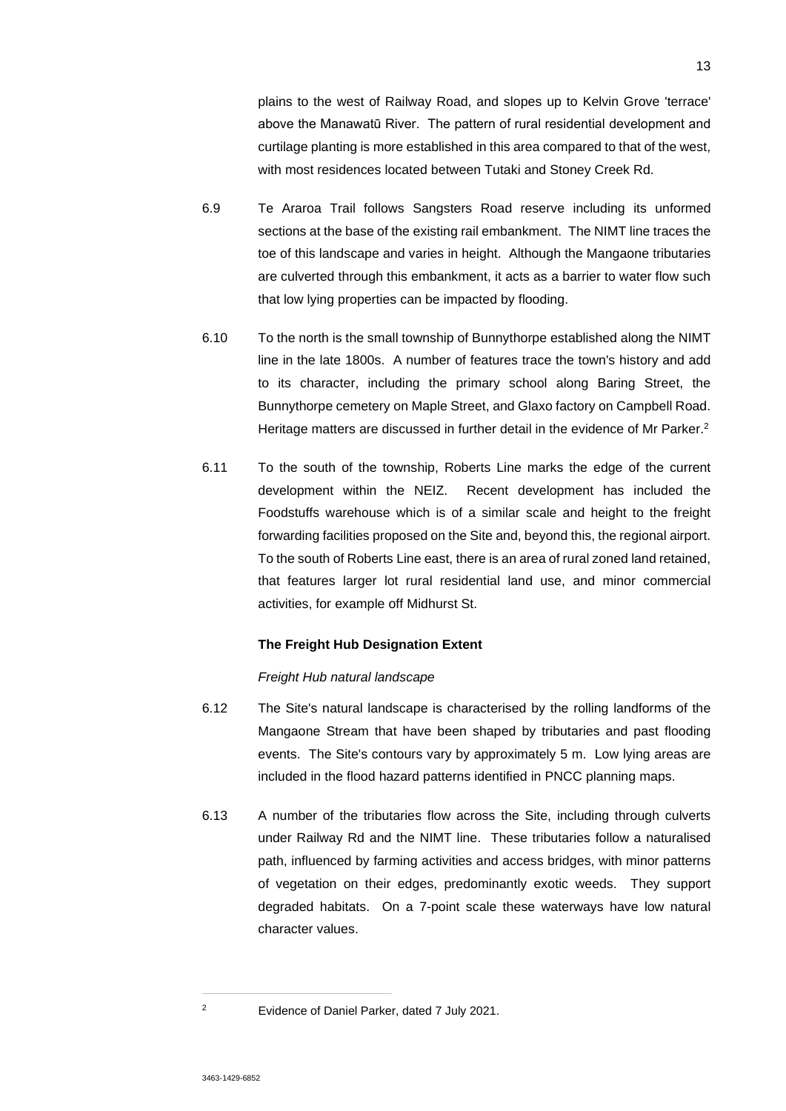plains to the west of Railway Road, and slopes up to Kelvin Grove 'terrace' above the Manawatū River. The pattern of rural residential development and curtilage planting is more established in this area compared to that of the west, with most residences located between Tutaki and Stoney Creek Rd.

- 6.9 Te Araroa Trail follows Sangsters Road reserve including its unformed sections at the base of the existing rail embankment. The NIMT line traces the toe of this landscape and varies in height. Although the Mangaone tributaries are culverted through this embankment, it acts as a barrier to water flow such that low lying properties can be impacted by flooding.
- 6.10 To the north is the small township of Bunnythorpe established along the NIMT line in the late 1800s. A number of features trace the town's history and add to its character, including the primary school along Baring Street, the Bunnythorpe cemetery on Maple Street, and Glaxo factory on Campbell Road. Heritage matters are discussed in further detail in the evidence of Mr Parker.<sup>2</sup>
- 6.11 To the south of the township, Roberts Line marks the edge of the current development within the NEIZ. Recent development has included the Foodstuffs warehouse which is of a similar scale and height to the freight forwarding facilities proposed on the Site and, beyond this, the regional airport. To the south of Roberts Line east, there is an area of rural zoned land retained, that features larger lot rural residential land use, and minor commercial activities, for example off Midhurst St.

## **The Freight Hub Designation Extent**

### *Freight Hub natural landscape*

- 6.12 The Site's natural landscape is characterised by the rolling landforms of the Mangaone Stream that have been shaped by tributaries and past flooding events. The Site's contours vary by approximately 5 m. Low lying areas are included in the flood hazard patterns identified in PNCC planning maps.
- 6.13 A number of the tributaries flow across the Site, including through culverts under Railway Rd and the NIMT line. These tributaries follow a naturalised path, influenced by farming activities and access bridges, with minor patterns of vegetation on their edges, predominantly exotic weeds. They support degraded habitats. On a 7-point scale these waterways have low natural character values.

<sup>2</sup> Evidence of Daniel Parker, dated 7 July 2021.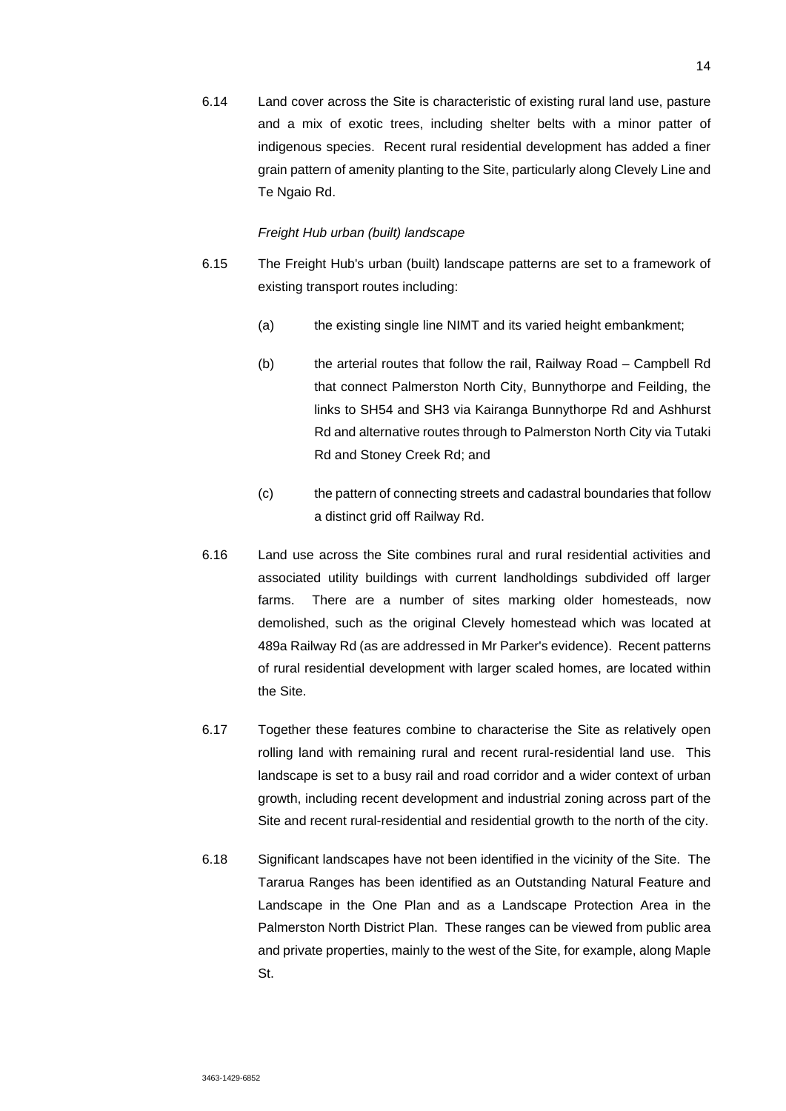6.14 Land cover across the Site is characteristic of existing rural land use, pasture and a mix of exotic trees, including shelter belts with a minor patter of indigenous species. Recent rural residential development has added a finer grain pattern of amenity planting to the Site, particularly along Clevely Line and Te Ngaio Rd.

#### *Freight Hub urban (built) landscape*

- 6.15 The Freight Hub's urban (built) landscape patterns are set to a framework of existing transport routes including:
	- (a) the existing single line NIMT and its varied height embankment;
	- (b) the arterial routes that follow the rail, Railway Road Campbell Rd that connect Palmerston North City, Bunnythorpe and Feilding, the links to SH54 and SH3 via Kairanga Bunnythorpe Rd and Ashhurst Rd and alternative routes through to Palmerston North City via Tutaki Rd and Stoney Creek Rd; and
	- (c) the pattern of connecting streets and cadastral boundaries that follow a distinct grid off Railway Rd.
- 6.16 Land use across the Site combines rural and rural residential activities and associated utility buildings with current landholdings subdivided off larger farms. There are a number of sites marking older homesteads, now demolished, such as the original Clevely homestead which was located at 489a Railway Rd (as are addressed in Mr Parker's evidence). Recent patterns of rural residential development with larger scaled homes, are located within the Site.
- 6.17 Together these features combine to characterise the Site as relatively open rolling land with remaining rural and recent rural-residential land use. This landscape is set to a busy rail and road corridor and a wider context of urban growth, including recent development and industrial zoning across part of the Site and recent rural-residential and residential growth to the north of the city.
- 6.18 Significant landscapes have not been identified in the vicinity of the Site. The Tararua Ranges has been identified as an Outstanding Natural Feature and Landscape in the One Plan and as a Landscape Protection Area in the Palmerston North District Plan. These ranges can be viewed from public area and private properties, mainly to the west of the Site, for example, along Maple St.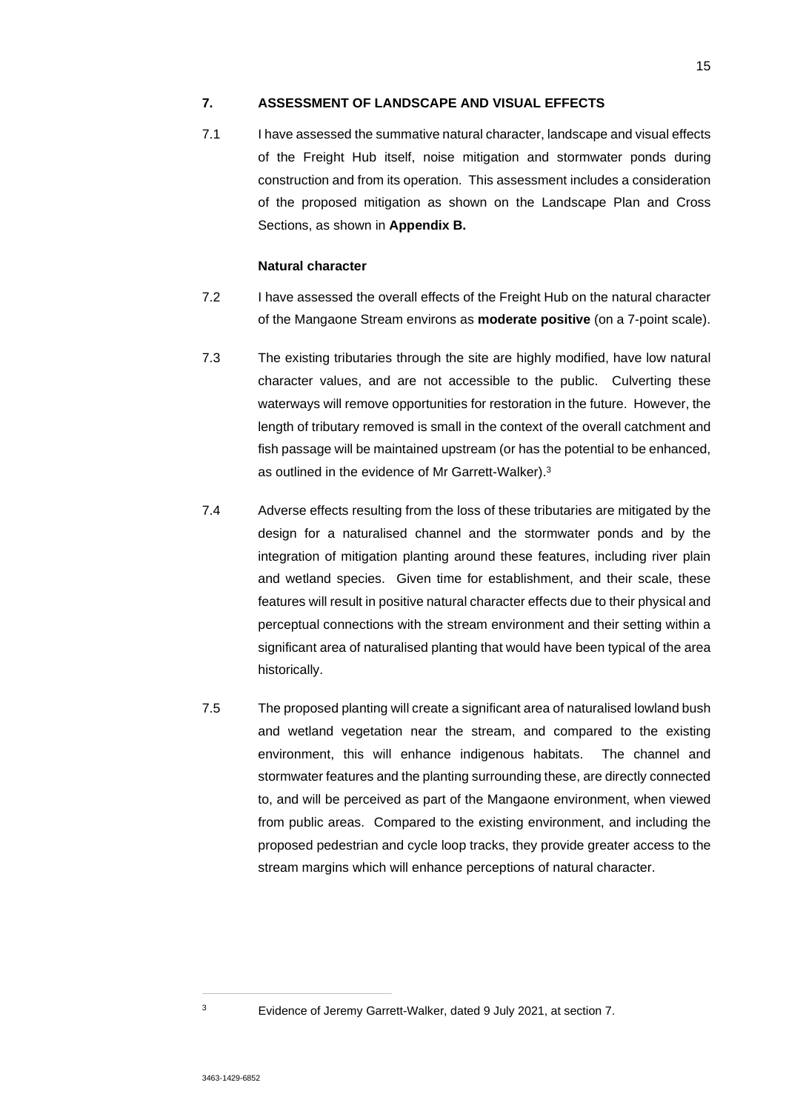# **7. ASSESSMENT OF LANDSCAPE AND VISUAL EFFECTS**

7.1 I have assessed the summative natural character, landscape and visual effects of the Freight Hub itself, noise mitigation and stormwater ponds during construction and from its operation. This assessment includes a consideration of the proposed mitigation as shown on the Landscape Plan and Cross Sections, as shown in **Appendix B.** 

# **Natural character**

- 7.2 I have assessed the overall effects of the Freight Hub on the natural character of the Mangaone Stream environs as **moderate positive** (on a 7-point scale).
- 7.3 The existing tributaries through the site are highly modified, have low natural character values, and are not accessible to the public. Culverting these waterways will remove opportunities for restoration in the future. However, the length of tributary removed is small in the context of the overall catchment and fish passage will be maintained upstream (or has the potential to be enhanced, as outlined in the evidence of Mr Garrett-Walker).<sup>3</sup>
- 7.4 Adverse effects resulting from the loss of these tributaries are mitigated by the design for a naturalised channel and the stormwater ponds and by the integration of mitigation planting around these features, including river plain and wetland species. Given time for establishment, and their scale, these features will result in positive natural character effects due to their physical and perceptual connections with the stream environment and their setting within a significant area of naturalised planting that would have been typical of the area historically.
- 7.5 The proposed planting will create a significant area of naturalised lowland bush and wetland vegetation near the stream, and compared to the existing environment, this will enhance indigenous habitats. The channel and stormwater features and the planting surrounding these, are directly connected to, and will be perceived as part of the Mangaone environment, when viewed from public areas. Compared to the existing environment, and including the proposed pedestrian and cycle loop tracks, they provide greater access to the stream margins which will enhance perceptions of natural character.

<sup>3</sup> Evidence of Jeremy Garrett-Walker, dated 9 July 2021, at section 7.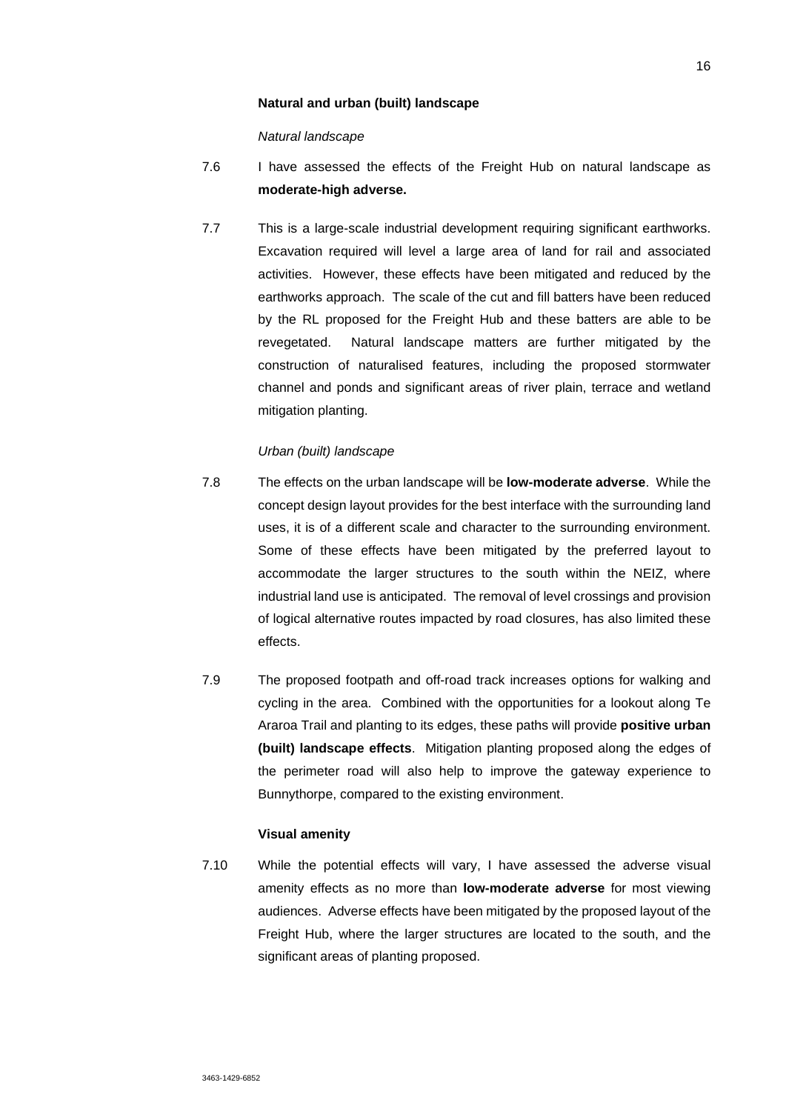### **Natural and urban (built) landscape**

*Natural landscape*

- 7.6 I have assessed the effects of the Freight Hub on natural landscape as **moderate-high adverse.**
- 7.7 This is a large-scale industrial development requiring significant earthworks. Excavation required will level a large area of land for rail and associated activities. However, these effects have been mitigated and reduced by the earthworks approach. The scale of the cut and fill batters have been reduced by the RL proposed for the Freight Hub and these batters are able to be revegetated. Natural landscape matters are further mitigated by the construction of naturalised features, including the proposed stormwater channel and ponds and significant areas of river plain, terrace and wetland mitigation planting.

#### *Urban (built) landscape*

- 7.8 The effects on the urban landscape will be **low-moderate adverse**. While the concept design layout provides for the best interface with the surrounding land uses, it is of a different scale and character to the surrounding environment. Some of these effects have been mitigated by the preferred layout to accommodate the larger structures to the south within the NEIZ, where industrial land use is anticipated. The removal of level crossings and provision of logical alternative routes impacted by road closures, has also limited these effects.
- 7.9 The proposed footpath and off-road track increases options for walking and cycling in the area. Combined with the opportunities for a lookout along Te Araroa Trail and planting to its edges, these paths will provide **positive urban (built) landscape effects**. Mitigation planting proposed along the edges of the perimeter road will also help to improve the gateway experience to Bunnythorpe, compared to the existing environment.

## **Visual amenity**

7.10 While the potential effects will vary, I have assessed the adverse visual amenity effects as no more than **low-moderate adverse** for most viewing audiences. Adverse effects have been mitigated by the proposed layout of the Freight Hub, where the larger structures are located to the south, and the significant areas of planting proposed.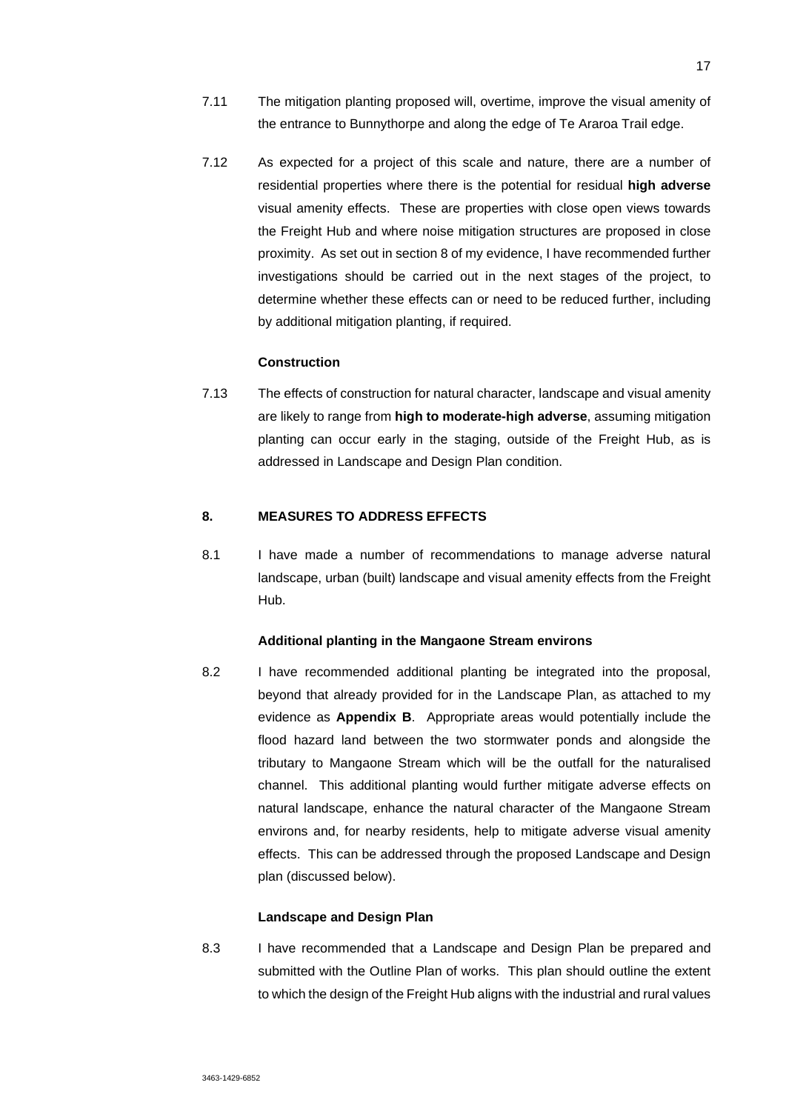- 7.11 The mitigation planting proposed will, overtime, improve the visual amenity of the entrance to Bunnythorpe and along the edge of Te Araroa Trail edge.
- 7.12 As expected for a project of this scale and nature, there are a number of residential properties where there is the potential for residual **high adverse**  visual amenity effects. These are properties with close open views towards the Freight Hub and where noise mitigation structures are proposed in close proximity. As set out in section 8 of my evidence, I have recommended further investigations should be carried out in the next stages of the project, to determine whether these effects can or need to be reduced further, including by additional mitigation planting, if required.

### **Construction**

7.13 The effects of construction for natural character, landscape and visual amenity are likely to range from **high to moderate-high adverse**, assuming mitigation planting can occur early in the staging, outside of the Freight Hub, as is addressed in Landscape and Design Plan condition.

# **8. MEASURES TO ADDRESS EFFECTS**

8.1 I have made a number of recommendations to manage adverse natural landscape, urban (built) landscape and visual amenity effects from the Freight Hub.

### **Additional planting in the Mangaone Stream environs**

8.2 I have recommended additional planting be integrated into the proposal, beyond that already provided for in the Landscape Plan, as attached to my evidence as **Appendix B**. Appropriate areas would potentially include the flood hazard land between the two stormwater ponds and alongside the tributary to Mangaone Stream which will be the outfall for the naturalised channel. This additional planting would further mitigate adverse effects on natural landscape, enhance the natural character of the Mangaone Stream environs and, for nearby residents, help to mitigate adverse visual amenity effects. This can be addressed through the proposed Landscape and Design plan (discussed below).

#### **Landscape and Design Plan**

8.3 I have recommended that a Landscape and Design Plan be prepared and submitted with the Outline Plan of works. This plan should outline the extent to which the design of the Freight Hub aligns with the industrial and rural values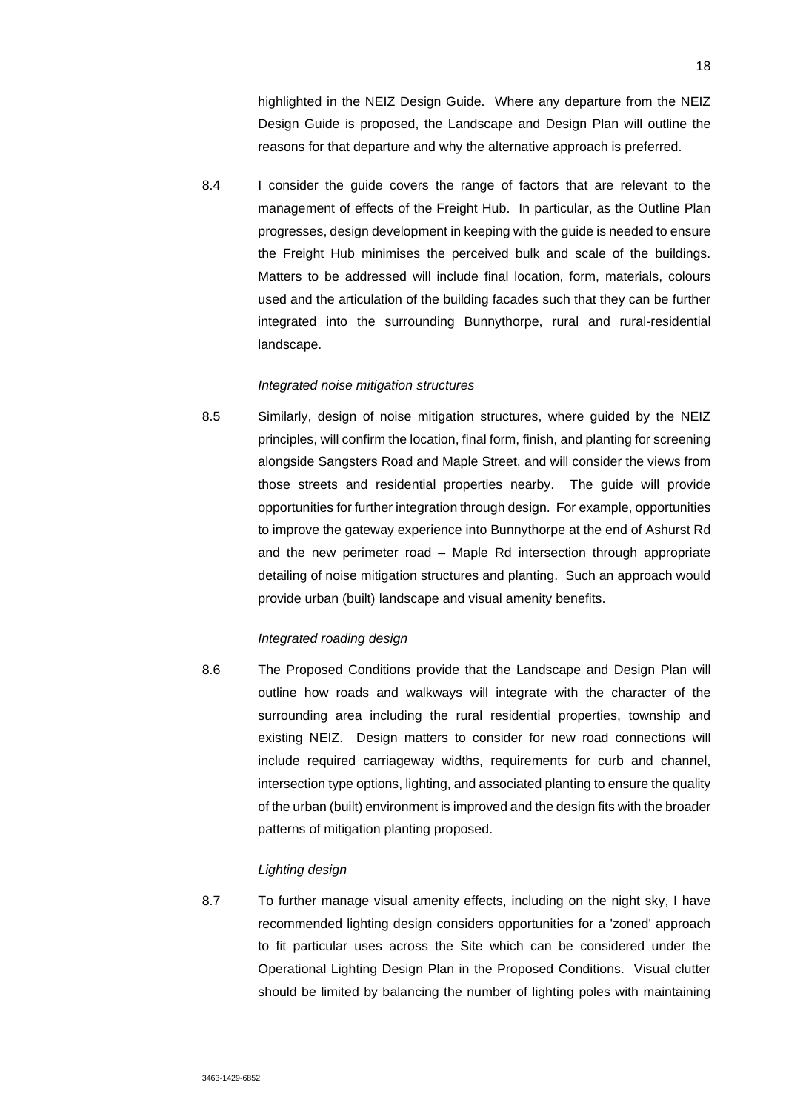highlighted in the NEIZ Design Guide. Where any departure from the NEIZ Design Guide is proposed, the Landscape and Design Plan will outline the reasons for that departure and why the alternative approach is preferred.

8.4 I consider the guide covers the range of factors that are relevant to the management of effects of the Freight Hub. In particular, as the Outline Plan progresses, design development in keeping with the guide is needed to ensure the Freight Hub minimises the perceived bulk and scale of the buildings. Matters to be addressed will include final location, form, materials, colours used and the articulation of the building facades such that they can be further integrated into the surrounding Bunnythorpe, rural and rural-residential landscape.

## *Integrated noise mitigation structures*

8.5 Similarly, design of noise mitigation structures, where guided by the NEIZ principles, will confirm the location, final form, finish, and planting for screening alongside Sangsters Road and Maple Street, and will consider the views from those streets and residential properties nearby. The guide will provide opportunities for further integration through design. For example, opportunities to improve the gateway experience into Bunnythorpe at the end of Ashurst Rd and the new perimeter road – Maple Rd intersection through appropriate detailing of noise mitigation structures and planting. Such an approach would provide urban (built) landscape and visual amenity benefits.

## *Integrated roading design*

8.6 The Proposed Conditions provide that the Landscape and Design Plan will outline how roads and walkways will integrate with the character of the surrounding area including the rural residential properties, township and existing NEIZ. Design matters to consider for new road connections will include required carriageway widths, requirements for curb and channel, intersection type options, lighting, and associated planting to ensure the quality of the urban (built) environment is improved and the design fits with the broader patterns of mitigation planting proposed.

#### *Lighting design*

8.7 To further manage visual amenity effects, including on the night sky, I have recommended lighting design considers opportunities for a 'zoned' approach to fit particular uses across the Site which can be considered under the Operational Lighting Design Plan in the Proposed Conditions. Visual clutter should be limited by balancing the number of lighting poles with maintaining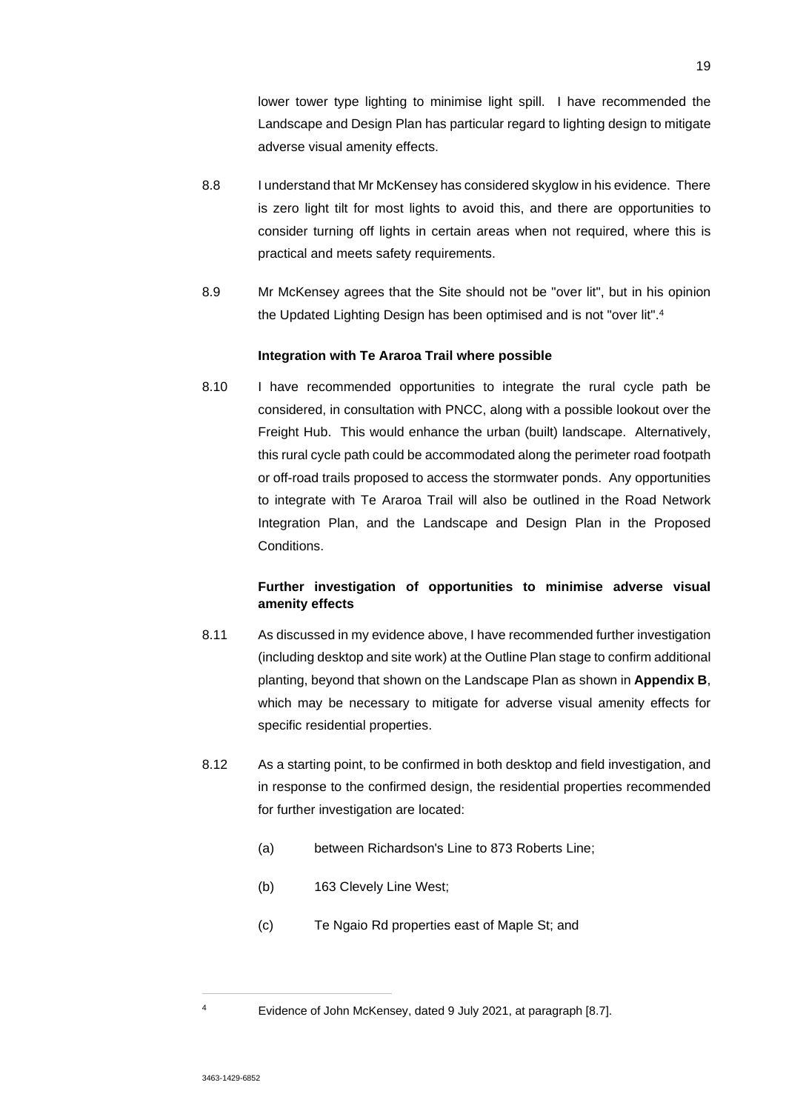lower tower type lighting to minimise light spill. I have recommended the Landscape and Design Plan has particular regard to lighting design to mitigate adverse visual amenity effects.

- 8.8 I understand that Mr McKensey has considered skyglow in his evidence. There is zero light tilt for most lights to avoid this, and there are opportunities to consider turning off lights in certain areas when not required, where this is practical and meets safety requirements.
- 8.9 Mr McKensey agrees that the Site should not be "over lit", but in his opinion the Updated Lighting Design has been optimised and is not "over lit".<sup>4</sup>

# **Integration with Te Araroa Trail where possible**

8.10 I have recommended opportunities to integrate the rural cycle path be considered, in consultation with PNCC, along with a possible lookout over the Freight Hub. This would enhance the urban (built) landscape. Alternatively, this rural cycle path could be accommodated along the perimeter road footpath or off-road trails proposed to access the stormwater ponds. Any opportunities to integrate with Te Araroa Trail will also be outlined in the Road Network Integration Plan, and the Landscape and Design Plan in the Proposed **Conditions** 

# **Further investigation of opportunities to minimise adverse visual amenity effects**

- 8.11 As discussed in my evidence above, I have recommended further investigation (including desktop and site work) at the Outline Plan stage to confirm additional planting, beyond that shown on the Landscape Plan as shown in **Appendix B**, which may be necessary to mitigate for adverse visual amenity effects for specific residential properties.
- 8.12 As a starting point, to be confirmed in both desktop and field investigation, and in response to the confirmed design, the residential properties recommended for further investigation are located:
	- (a) between Richardson's Line to 873 Roberts Line;
	- (b) 163 Clevely Line West;
	- (c) Te Ngaio Rd properties east of Maple St; and

<sup>4</sup> Evidence of John McKensey, dated 9 July 2021, at paragraph [8.7].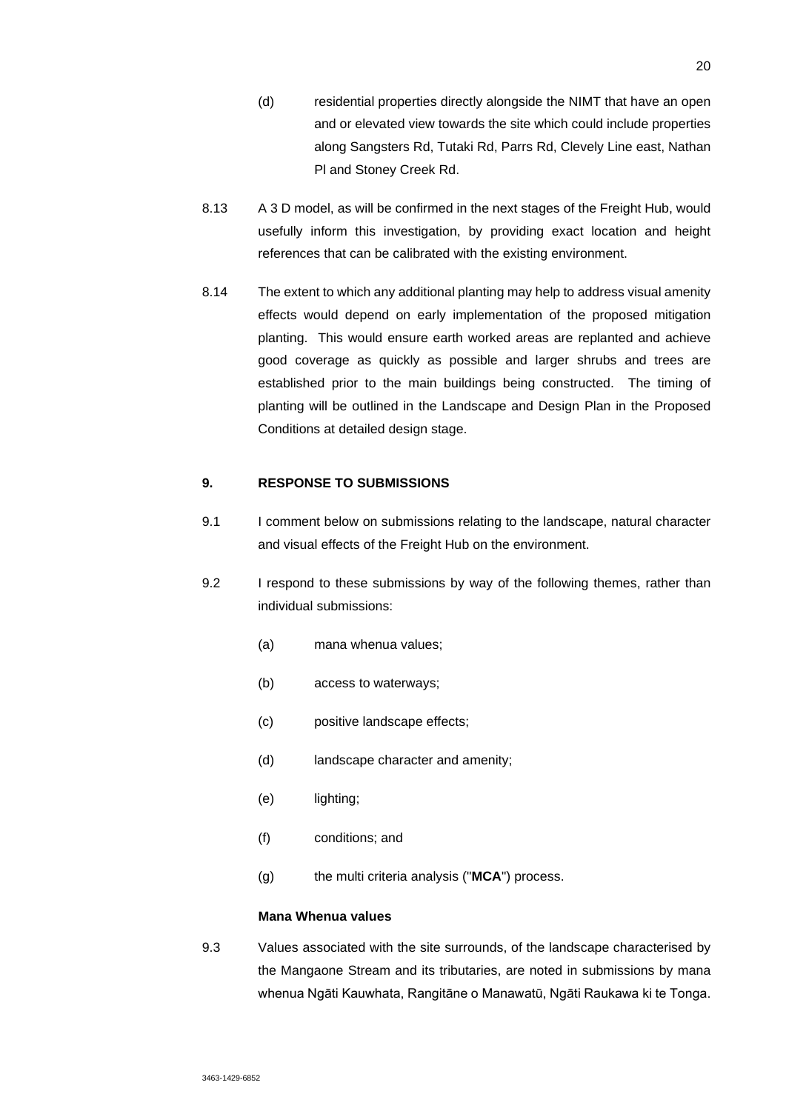- (d) residential properties directly alongside the NIMT that have an open and or elevated view towards the site which could include properties along Sangsters Rd, Tutaki Rd, Parrs Rd, Clevely Line east, Nathan Pl and Stoney Creek Rd.
- 8.13 A 3 D model, as will be confirmed in the next stages of the Freight Hub, would usefully inform this investigation, by providing exact location and height references that can be calibrated with the existing environment.
- 8.14 The extent to which any additional planting may help to address visual amenity effects would depend on early implementation of the proposed mitigation planting. This would ensure earth worked areas are replanted and achieve good coverage as quickly as possible and larger shrubs and trees are established prior to the main buildings being constructed. The timing of planting will be outlined in the Landscape and Design Plan in the Proposed Conditions at detailed design stage.

# **9. RESPONSE TO SUBMISSIONS**

- 9.1 I comment below on submissions relating to the landscape, natural character and visual effects of the Freight Hub on the environment.
- 9.2 I respond to these submissions by way of the following themes, rather than individual submissions:
	- (a) mana whenua values;
	- (b) access to waterways;
	- (c) positive landscape effects;
	- (d) landscape character and amenity;
	- (e) lighting;
	- (f) conditions; and
	- (g) the multi criteria analysis ("**MCA**") process.

# **Mana Whenua values**

9.3 Values associated with the site surrounds, of the landscape characterised by the Mangaone Stream and its tributaries, are noted in submissions by mana whenua Ngāti Kauwhata, Rangitāne o Manawatū, Ngāti Raukawa ki te Tonga.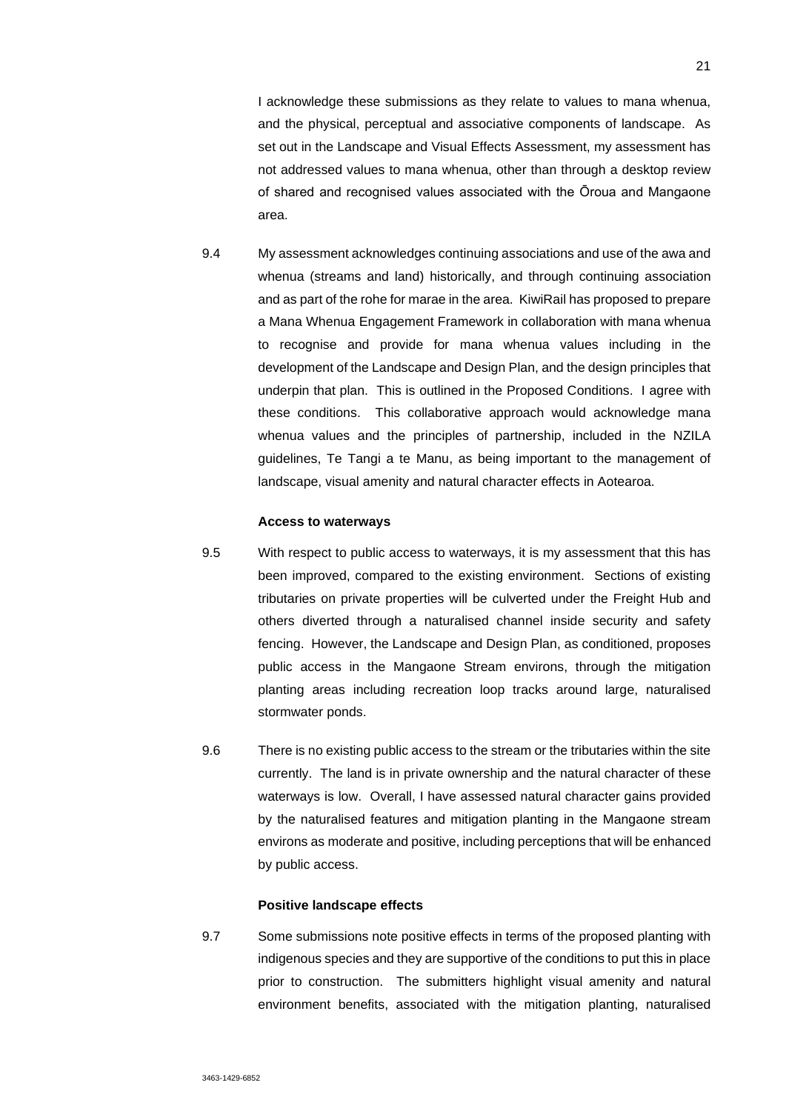I acknowledge these submissions as they relate to values to mana whenua, and the physical, perceptual and associative components of landscape. As set out in the Landscape and Visual Effects Assessment, my assessment has not addressed values to mana whenua, other than through a desktop review of shared and recognised values associated with the Ōroua and Mangaone area.

9.4 My assessment acknowledges continuing associations and use of the awa and whenua (streams and land) historically, and through continuing association and as part of the rohe for marae in the area. KiwiRail has proposed to prepare a Mana Whenua Engagement Framework in collaboration with mana whenua to recognise and provide for mana whenua values including in the development of the Landscape and Design Plan, and the design principles that underpin that plan. This is outlined in the Proposed Conditions. I agree with these conditions. This collaborative approach would acknowledge mana whenua values and the principles of partnership, included in the NZILA guidelines, Te Tangi a te Manu, as being important to the management of landscape, visual amenity and natural character effects in Aotearoa.

#### **Access to waterways**

- 9.5 With respect to public access to waterways, it is my assessment that this has been improved, compared to the existing environment. Sections of existing tributaries on private properties will be culverted under the Freight Hub and others diverted through a naturalised channel inside security and safety fencing. However, the Landscape and Design Plan, as conditioned, proposes public access in the Mangaone Stream environs, through the mitigation planting areas including recreation loop tracks around large, naturalised stormwater ponds.
- 9.6 There is no existing public access to the stream or the tributaries within the site currently. The land is in private ownership and the natural character of these waterways is low. Overall, I have assessed natural character gains provided by the naturalised features and mitigation planting in the Mangaone stream environs as moderate and positive, including perceptions that will be enhanced by public access.

### **Positive landscape effects**

9.7 Some submissions note positive effects in terms of the proposed planting with indigenous species and they are supportive of the conditions to put this in place prior to construction. The submitters highlight visual amenity and natural environment benefits, associated with the mitigation planting, naturalised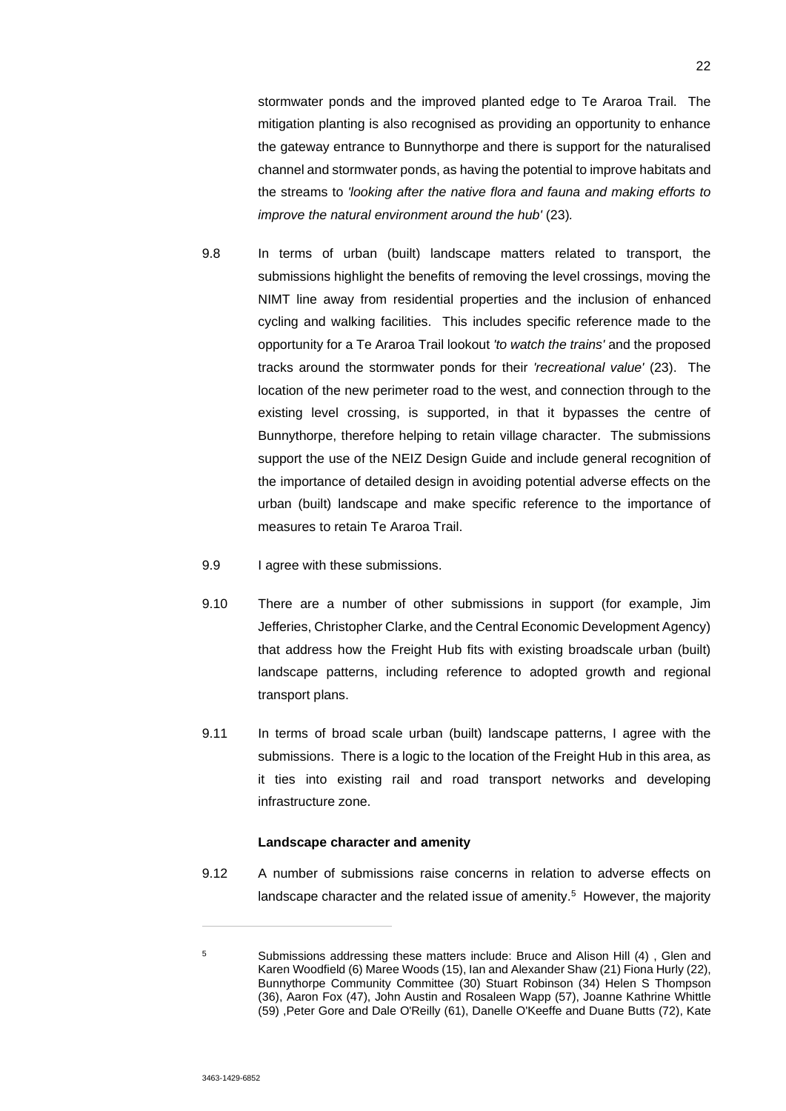stormwater ponds and the improved planted edge to Te Araroa Trail. The mitigation planting is also recognised as providing an opportunity to enhance the gateway entrance to Bunnythorpe and there is support for the naturalised channel and stormwater ponds, as having the potential to improve habitats and the streams to *'looking after the native flora and fauna and making efforts to improve the natural environment around the hub' (23).* 

- 9.8 In terms of urban (built) landscape matters related to transport, the submissions highlight the benefits of removing the level crossings, moving the NIMT line away from residential properties and the inclusion of enhanced cycling and walking facilities. This includes specific reference made to the opportunity for a Te Araroa Trail lookout *'to watch the trains'* and the proposed tracks around the stormwater ponds for their *'recreational value'* (23). The location of the new perimeter road to the west, and connection through to the existing level crossing, is supported, in that it bypasses the centre of Bunnythorpe, therefore helping to retain village character. The submissions support the use of the NEIZ Design Guide and include general recognition of the importance of detailed design in avoiding potential adverse effects on the urban (built) landscape and make specific reference to the importance of measures to retain Te Araroa Trail.
- 9.9 I agree with these submissions.
- 9.10 There are a number of other submissions in support (for example, Jim Jefferies, Christopher Clarke, and the Central Economic Development Agency) that address how the Freight Hub fits with existing broadscale urban (built) landscape patterns, including reference to adopted growth and regional transport plans.
- 9.11 In terms of broad scale urban (built) landscape patterns, I agree with the submissions. There is a logic to the location of the Freight Hub in this area, as it ties into existing rail and road transport networks and developing infrastructure zone.

### **Landscape character and amenity**

9.12 A number of submissions raise concerns in relation to adverse effects on landscape character and the related issue of amenity.<sup>5</sup> However, the majority

<sup>&</sup>lt;sup>5</sup> Submissions addressing these matters include: Bruce and Alison Hill (4), Glen and Karen Woodfield (6) Maree Woods (15), Ian and Alexander Shaw (21) Fiona Hurly (22), Bunnythorpe Community Committee (30) Stuart Robinson (34) Helen S Thompson (36), Aaron Fox (47), John Austin and Rosaleen Wapp (57), Joanne Kathrine Whittle (59) ,Peter Gore and Dale O'Reilly (61), Danelle O'Keeffe and Duane Butts (72), Kate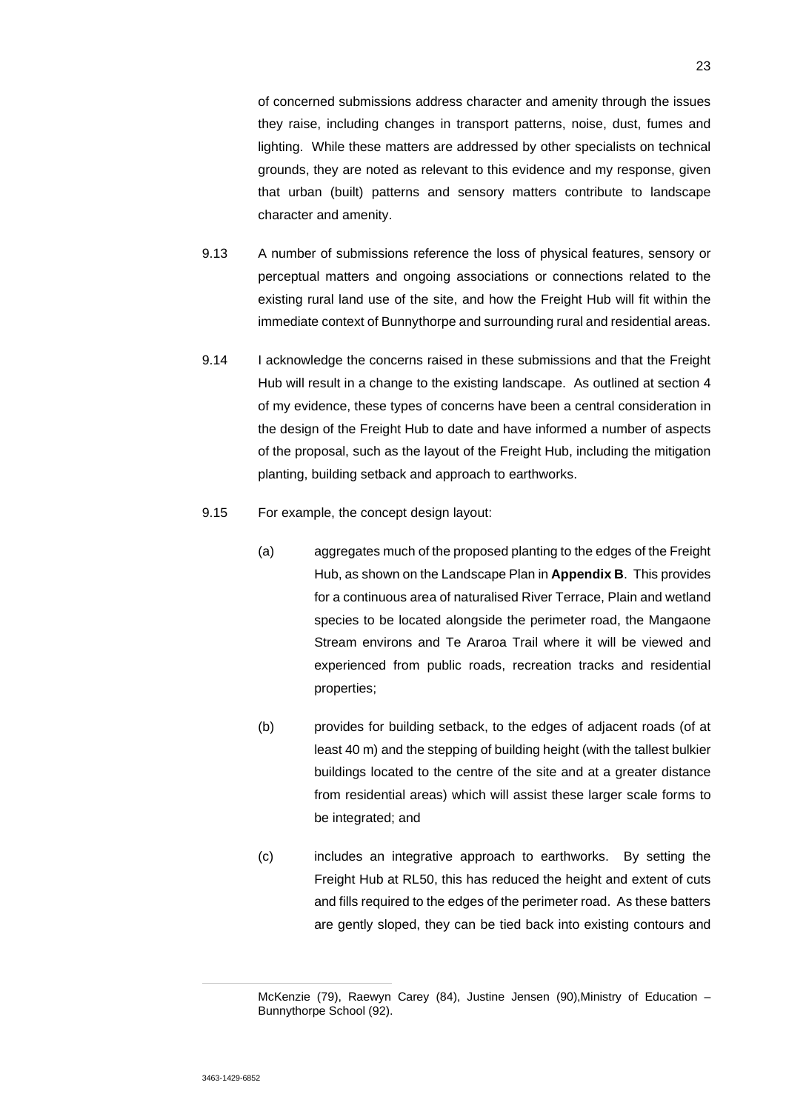of concerned submissions address character and amenity through the issues they raise, including changes in transport patterns, noise, dust, fumes and lighting. While these matters are addressed by other specialists on technical grounds, they are noted as relevant to this evidence and my response, given that urban (built) patterns and sensory matters contribute to landscape character and amenity.

- 9.13 A number of submissions reference the loss of physical features, sensory or perceptual matters and ongoing associations or connections related to the existing rural land use of the site, and how the Freight Hub will fit within the immediate context of Bunnythorpe and surrounding rural and residential areas.
- 9.14 I acknowledge the concerns raised in these submissions and that the Freight Hub will result in a change to the existing landscape. As outlined at section 4 of my evidence, these types of concerns have been a central consideration in the design of the Freight Hub to date and have informed a number of aspects of the proposal, such as the layout of the Freight Hub, including the mitigation planting, building setback and approach to earthworks.
- 9.15 For example, the concept design layout:
	- (a) aggregates much of the proposed planting to the edges of the Freight Hub, as shown on the Landscape Plan in **Appendix B**. This provides for a continuous area of naturalised River Terrace, Plain and wetland species to be located alongside the perimeter road, the Mangaone Stream environs and Te Araroa Trail where it will be viewed and experienced from public roads, recreation tracks and residential properties;
	- (b) provides for building setback, to the edges of adjacent roads (of at least 40 m) and the stepping of building height (with the tallest bulkier buildings located to the centre of the site and at a greater distance from residential areas) which will assist these larger scale forms to be integrated; and
	- (c) includes an integrative approach to earthworks. By setting the Freight Hub at RL50, this has reduced the height and extent of cuts and fills required to the edges of the perimeter road. As these batters are gently sloped, they can be tied back into existing contours and

McKenzie (79), Raewyn Carey (84), Justine Jensen (90),Ministry of Education – Bunnythorpe School (92).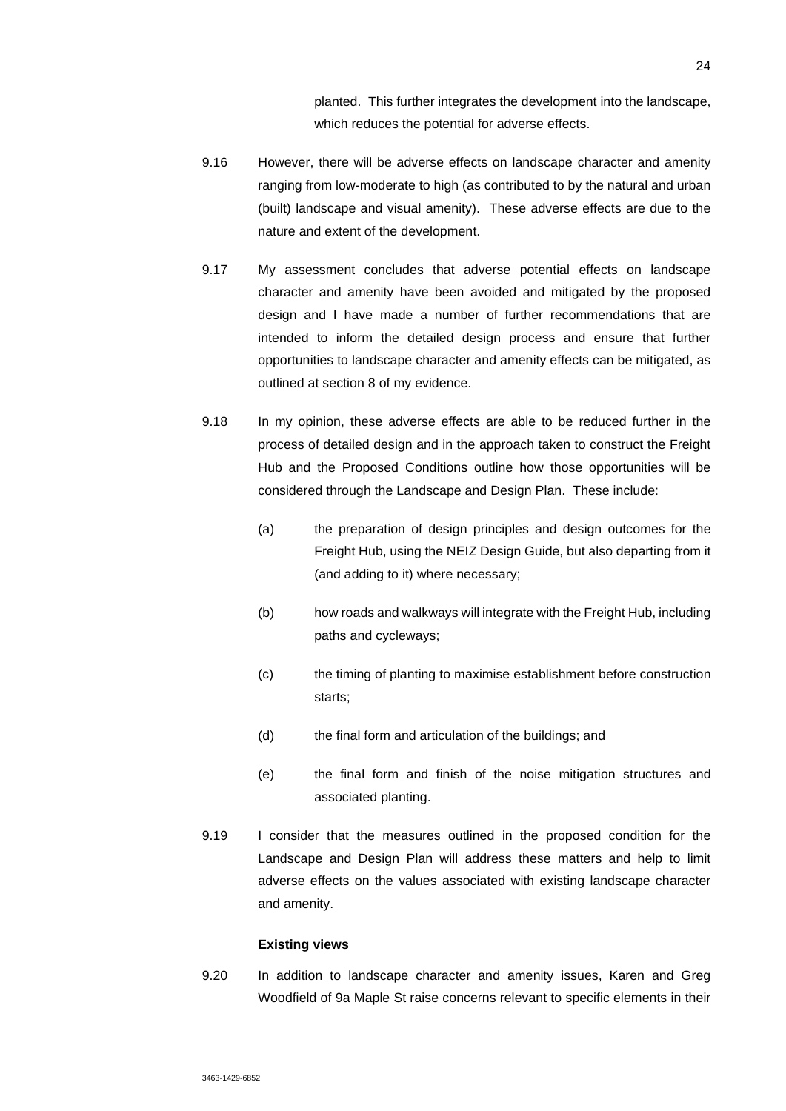planted. This further integrates the development into the landscape, which reduces the potential for adverse effects.

- 9.16 However, there will be adverse effects on landscape character and amenity ranging from low-moderate to high (as contributed to by the natural and urban (built) landscape and visual amenity). These adverse effects are due to the nature and extent of the development.
- 9.17 My assessment concludes that adverse potential effects on landscape character and amenity have been avoided and mitigated by the proposed design and I have made a number of further recommendations that are intended to inform the detailed design process and ensure that further opportunities to landscape character and amenity effects can be mitigated, as outlined at section 8 of my evidence.
- 9.18 In my opinion, these adverse effects are able to be reduced further in the process of detailed design and in the approach taken to construct the Freight Hub and the Proposed Conditions outline how those opportunities will be considered through the Landscape and Design Plan. These include:
	- (a) the preparation of design principles and design outcomes for the Freight Hub, using the NEIZ Design Guide, but also departing from it (and adding to it) where necessary;
	- (b) how roads and walkways will integrate with the Freight Hub, including paths and cycleways;
	- (c) the timing of planting to maximise establishment before construction starts;
	- (d) the final form and articulation of the buildings; and
	- (e) the final form and finish of the noise mitigation structures and associated planting.
- 9.19 I consider that the measures outlined in the proposed condition for the Landscape and Design Plan will address these matters and help to limit adverse effects on the values associated with existing landscape character and amenity.

### **Existing views**

9.20 In addition to landscape character and amenity issues, Karen and Greg Woodfield of 9a Maple St raise concerns relevant to specific elements in their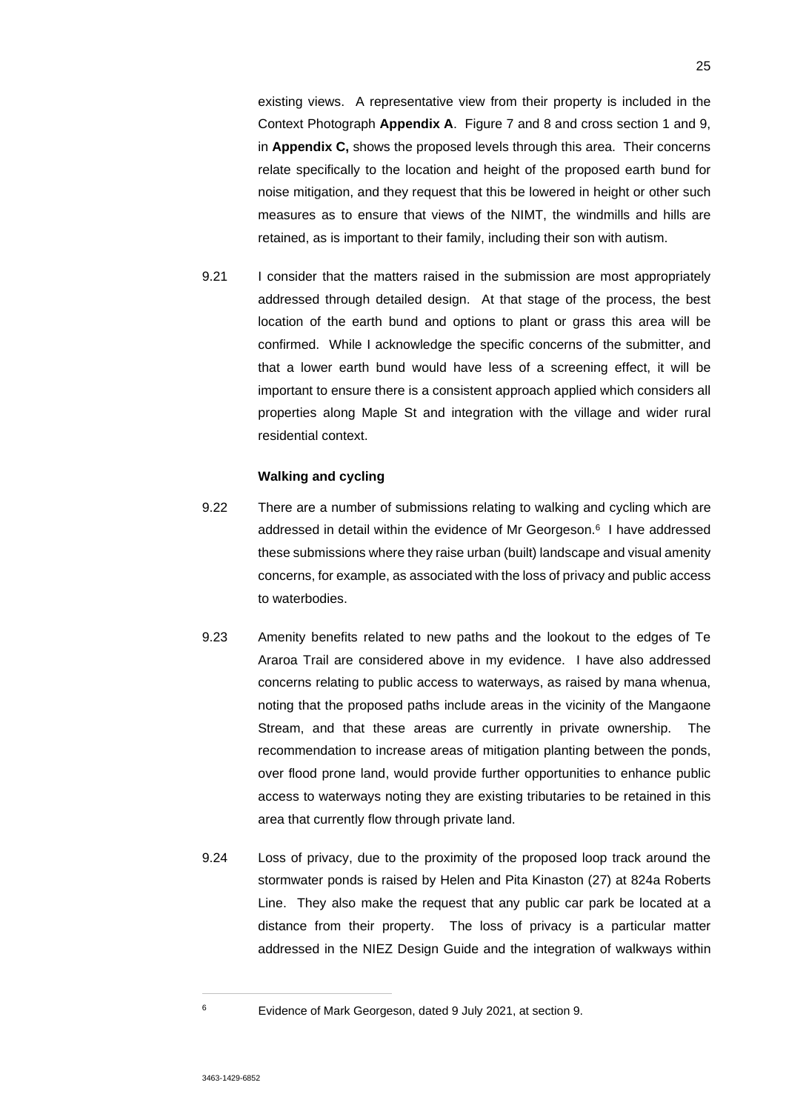existing views. A representative view from their property is included in the Context Photograph **Appendix A**. Figure 7 and 8 and cross section 1 and 9, in **Appendix C,** shows the proposed levels through this area. Their concerns relate specifically to the location and height of the proposed earth bund for noise mitigation, and they request that this be lowered in height or other such measures as to ensure that views of the NIMT, the windmills and hills are retained, as is important to their family, including their son with autism.

9.21 I consider that the matters raised in the submission are most appropriately addressed through detailed design. At that stage of the process, the best location of the earth bund and options to plant or grass this area will be confirmed. While I acknowledge the specific concerns of the submitter, and that a lower earth bund would have less of a screening effect, it will be important to ensure there is a consistent approach applied which considers all properties along Maple St and integration with the village and wider rural residential context.

#### **Walking and cycling**

- 9.22 There are a number of submissions relating to walking and cycling which are addressed in detail within the evidence of Mr Georgeson.<sup>6</sup> I have addressed these submissions where they raise urban (built) landscape and visual amenity concerns, for example, as associated with the loss of privacy and public access to waterbodies.
- 9.23 Amenity benefits related to new paths and the lookout to the edges of Te Araroa Trail are considered above in my evidence. I have also addressed concerns relating to public access to waterways, as raised by mana whenua, noting that the proposed paths include areas in the vicinity of the Mangaone Stream, and that these areas are currently in private ownership. The recommendation to increase areas of mitigation planting between the ponds, over flood prone land, would provide further opportunities to enhance public access to waterways noting they are existing tributaries to be retained in this area that currently flow through private land.
- 9.24 Loss of privacy, due to the proximity of the proposed loop track around the stormwater ponds is raised by Helen and Pita Kinaston (27) at 824a Roberts Line. They also make the request that any public car park be located at a distance from their property. The loss of privacy is a particular matter addressed in the NIEZ Design Guide and the integration of walkways within

<sup>6</sup> Evidence of Mark Georgeson, dated 9 July 2021, at section 9.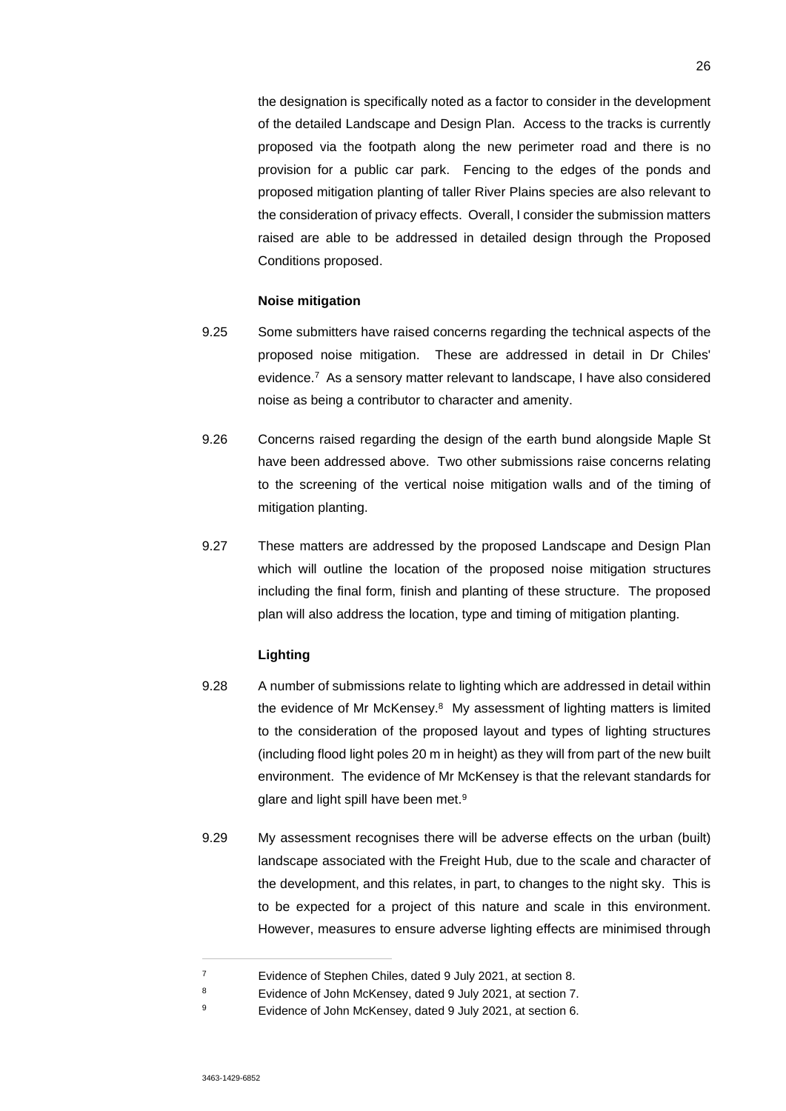the designation is specifically noted as a factor to consider in the development of the detailed Landscape and Design Plan. Access to the tracks is currently proposed via the footpath along the new perimeter road and there is no provision for a public car park. Fencing to the edges of the ponds and proposed mitigation planting of taller River Plains species are also relevant to the consideration of privacy effects. Overall, I consider the submission matters raised are able to be addressed in detailed design through the Proposed Conditions proposed.

### **Noise mitigation**

- 9.25 Some submitters have raised concerns regarding the technical aspects of the proposed noise mitigation. These are addressed in detail in Dr Chiles' evidence.<sup>7</sup> As a sensory matter relevant to landscape, I have also considered noise as being a contributor to character and amenity.
- 9.26 Concerns raised regarding the design of the earth bund alongside Maple St have been addressed above. Two other submissions raise concerns relating to the screening of the vertical noise mitigation walls and of the timing of mitigation planting.
- 9.27 These matters are addressed by the proposed Landscape and Design Plan which will outline the location of the proposed noise mitigation structures including the final form, finish and planting of these structure. The proposed plan will also address the location, type and timing of mitigation planting.

# **Lighting**

- 9.28 A number of submissions relate to lighting which are addressed in detail within the evidence of Mr McKensey.<sup>8</sup> My assessment of lighting matters is limited to the consideration of the proposed layout and types of lighting structures (including flood light poles 20 m in height) as they will from part of the new built environment. The evidence of Mr McKensey is that the relevant standards for glare and light spill have been met.<sup>9</sup>
- 9.29 My assessment recognises there will be adverse effects on the urban (built) landscape associated with the Freight Hub, due to the scale and character of the development, and this relates, in part, to changes to the night sky. This is to be expected for a project of this nature and scale in this environment. However, measures to ensure adverse lighting effects are minimised through

<sup>7</sup> Evidence of Stephen Chiles, dated 9 July 2021, at section 8.

<sup>8</sup> Evidence of John McKensey, dated 9 July 2021, at section 7.

<sup>9</sup> Evidence of John McKensey, dated 9 July 2021, at section 6.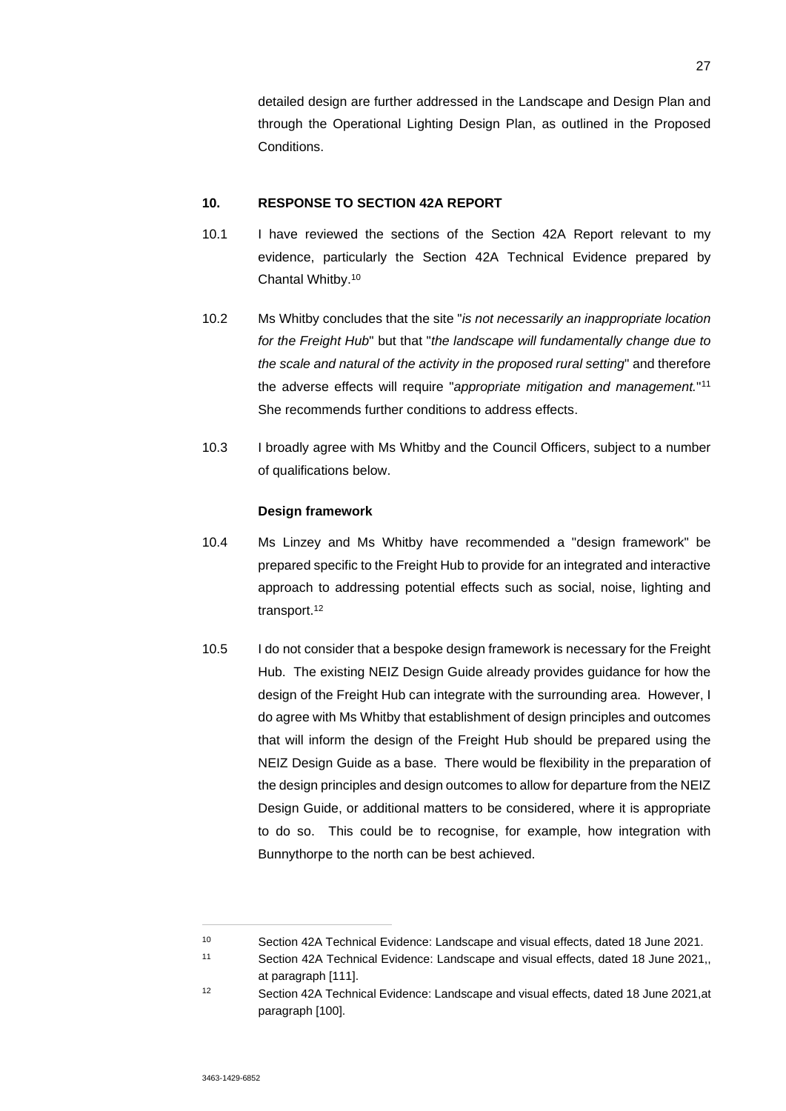detailed design are further addressed in the Landscape and Design Plan and through the Operational Lighting Design Plan, as outlined in the Proposed Conditions.

# **10. RESPONSE TO SECTION 42A REPORT**

- 10.1 I have reviewed the sections of the Section 42A Report relevant to my evidence, particularly the Section 42A Technical Evidence prepared by Chantal Whitby.<sup>10</sup>
- 10.2 Ms Whitby concludes that the site "*is not necessarily an inappropriate location for the Freight Hub*" but that "*the landscape will fundamentally change due to the scale and natural of the activity in the proposed rural setting*" and therefore the adverse effects will require "*appropriate mitigation and management.*" 11 She recommends further conditions to address effects.
- 10.3 I broadly agree with Ms Whitby and the Council Officers, subject to a number of qualifications below.

#### **Design framework**

- 10.4 Ms Linzey and Ms Whitby have recommended a "design framework" be prepared specific to the Freight Hub to provide for an integrated and interactive approach to addressing potential effects such as social, noise, lighting and transport.<sup>12</sup>
- 10.5 I do not consider that a bespoke design framework is necessary for the Freight Hub. The existing NEIZ Design Guide already provides guidance for how the design of the Freight Hub can integrate with the surrounding area. However, I do agree with Ms Whitby that establishment of design principles and outcomes that will inform the design of the Freight Hub should be prepared using the NEIZ Design Guide as a base. There would be flexibility in the preparation of the design principles and design outcomes to allow for departure from the NEIZ Design Guide, or additional matters to be considered, where it is appropriate to do so. This could be to recognise, for example, how integration with Bunnythorpe to the north can be best achieved.

<sup>10</sup> Section 42A Technical Evidence: Landscape and visual effects, dated 18 June 2021.

<sup>11</sup> Section 42A Technical Evidence: Landscape and visual effects, dated 18 June 2021,, at paragraph [111].

<sup>12</sup> Section 42A Technical Evidence: Landscape and visual effects, dated 18 June 2021,at paragraph [100].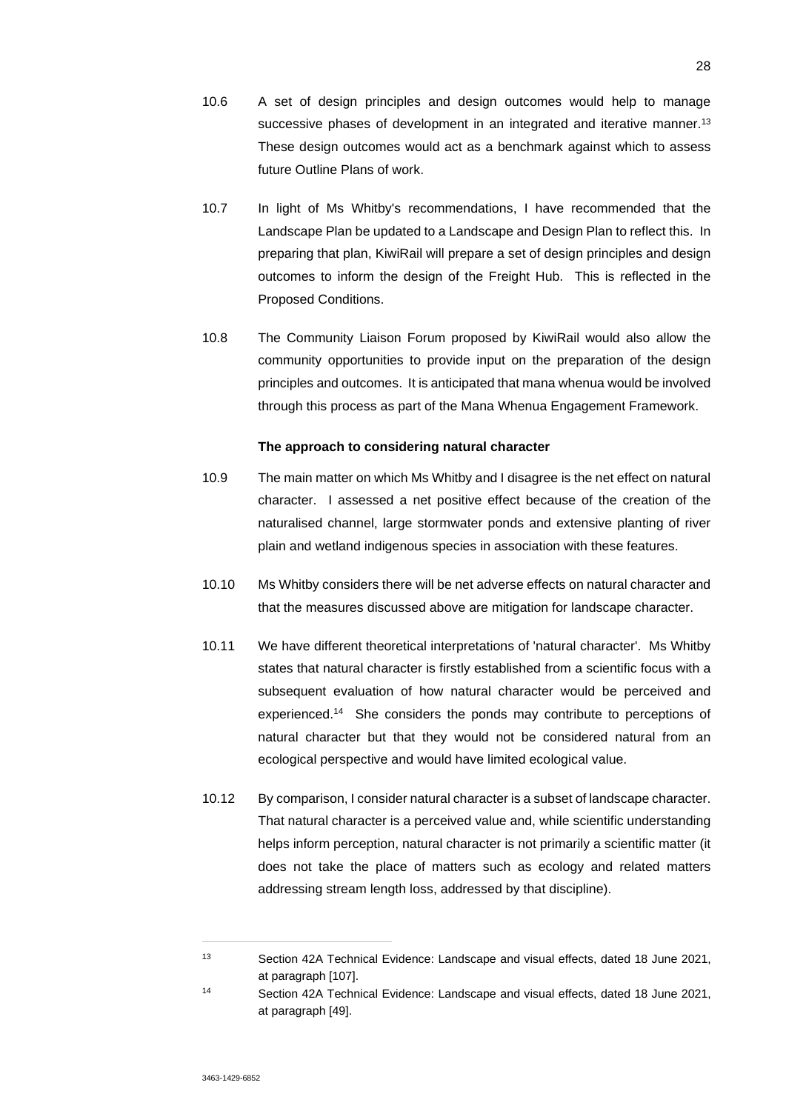- 10.7 In light of Ms Whitby's recommendations, I have recommended that the Landscape Plan be updated to a Landscape and Design Plan to reflect this. In preparing that plan, KiwiRail will prepare a set of design principles and design outcomes to inform the design of the Freight Hub. This is reflected in the Proposed Conditions.
- 10.8 The Community Liaison Forum proposed by KiwiRail would also allow the community opportunities to provide input on the preparation of the design principles and outcomes. It is anticipated that mana whenua would be involved through this process as part of the Mana Whenua Engagement Framework.

# **The approach to considering natural character**

- 10.9 The main matter on which Ms Whitby and I disagree is the net effect on natural character. I assessed a net positive effect because of the creation of the naturalised channel, large stormwater ponds and extensive planting of river plain and wetland indigenous species in association with these features.
- 10.10 Ms Whitby considers there will be net adverse effects on natural character and that the measures discussed above are mitigation for landscape character.
- 10.11 We have different theoretical interpretations of 'natural character'. Ms Whitby states that natural character is firstly established from a scientific focus with a subsequent evaluation of how natural character would be perceived and experienced.<sup>14</sup> She considers the ponds may contribute to perceptions of natural character but that they would not be considered natural from an ecological perspective and would have limited ecological value.
- 10.12 By comparison, I consider natural character is a subset of landscape character. That natural character is a perceived value and, while scientific understanding helps inform perception, natural character is not primarily a scientific matter (it does not take the place of matters such as ecology and related matters addressing stream length loss, addressed by that discipline).

<sup>13</sup> Section 42A Technical Evidence: Landscape and visual effects, dated 18 June 2021, at paragraph [107].

<sup>14</sup> Section 42A Technical Evidence: Landscape and visual effects, dated 18 June 2021, at paragraph [49].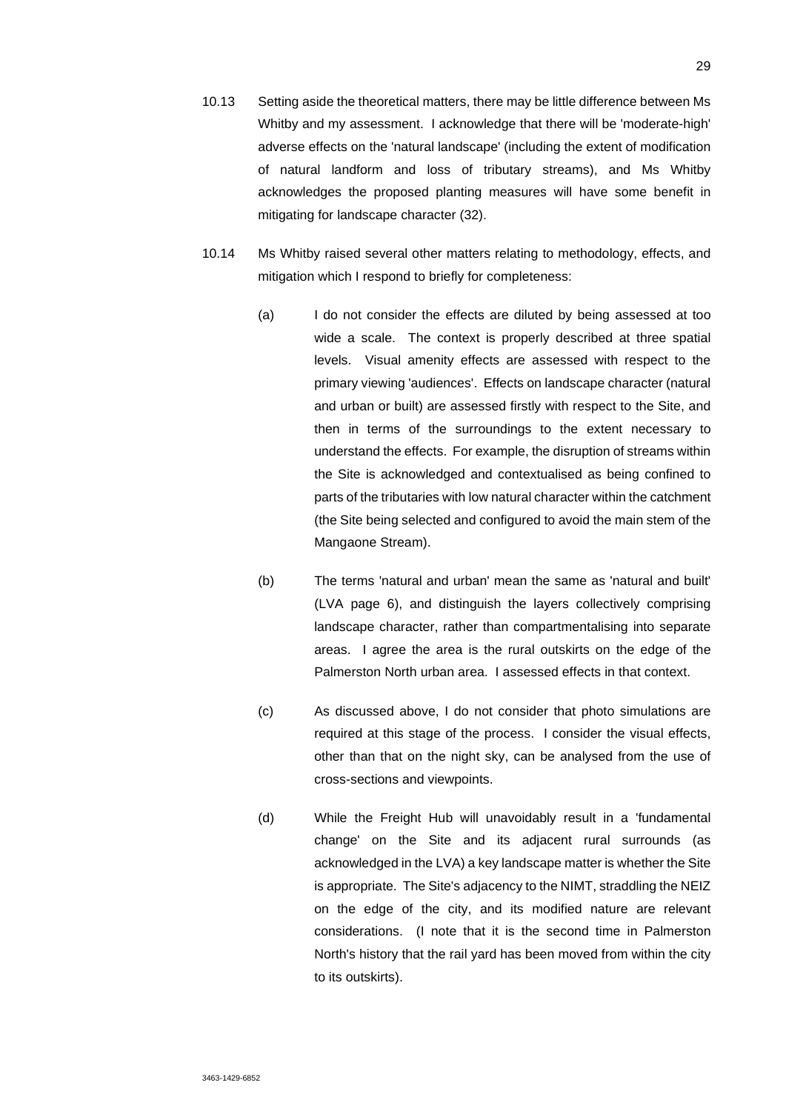- 10.13 Setting aside the theoretical matters, there may be little difference between Ms Whitby and my assessment. I acknowledge that there will be 'moderate-high' adverse effects on the 'natural landscape' (including the extent of modification of natural landform and loss of tributary streams), and Ms Whitby acknowledges the proposed planting measures will have some benefit in mitigating for landscape character (32).
- 10.14 Ms Whitby raised several other matters relating to methodology, effects, and mitigation which I respond to briefly for completeness:
	- (a) I do not consider the effects are diluted by being assessed at too wide a scale. The context is properly described at three spatial levels. Visual amenity effects are assessed with respect to the primary viewing 'audiences'. Effects on landscape character (natural and urban or built) are assessed firstly with respect to the Site, and then in terms of the surroundings to the extent necessary to understand the effects. For example, the disruption of streams within the Site is acknowledged and contextualised as being confined to parts of the tributaries with low natural character within the catchment (the Site being selected and configured to avoid the main stem of the Mangaone Stream).
	- (b) The terms 'natural and urban' mean the same as 'natural and built' (LVA page 6), and distinguish the layers collectively comprising landscape character, rather than compartmentalising into separate areas. I agree the area is the rural outskirts on the edge of the Palmerston North urban area. I assessed effects in that context.
	- (c) As discussed above, I do not consider that photo simulations are required at this stage of the process. I consider the visual effects, other than that on the night sky, can be analysed from the use of cross-sections and viewpoints.
	- (d) While the Freight Hub will unavoidably result in a 'fundamental change' on the Site and its adjacent rural surrounds (as acknowledged in the LVA) a key landscape matter is whether the Site is appropriate. The Site's adjacency to the NIMT, straddling the NEIZ on the edge of the city, and its modified nature are relevant considerations. (I note that it is the second time in Palmerston North's history that the rail yard has been moved from within the city to its outskirts).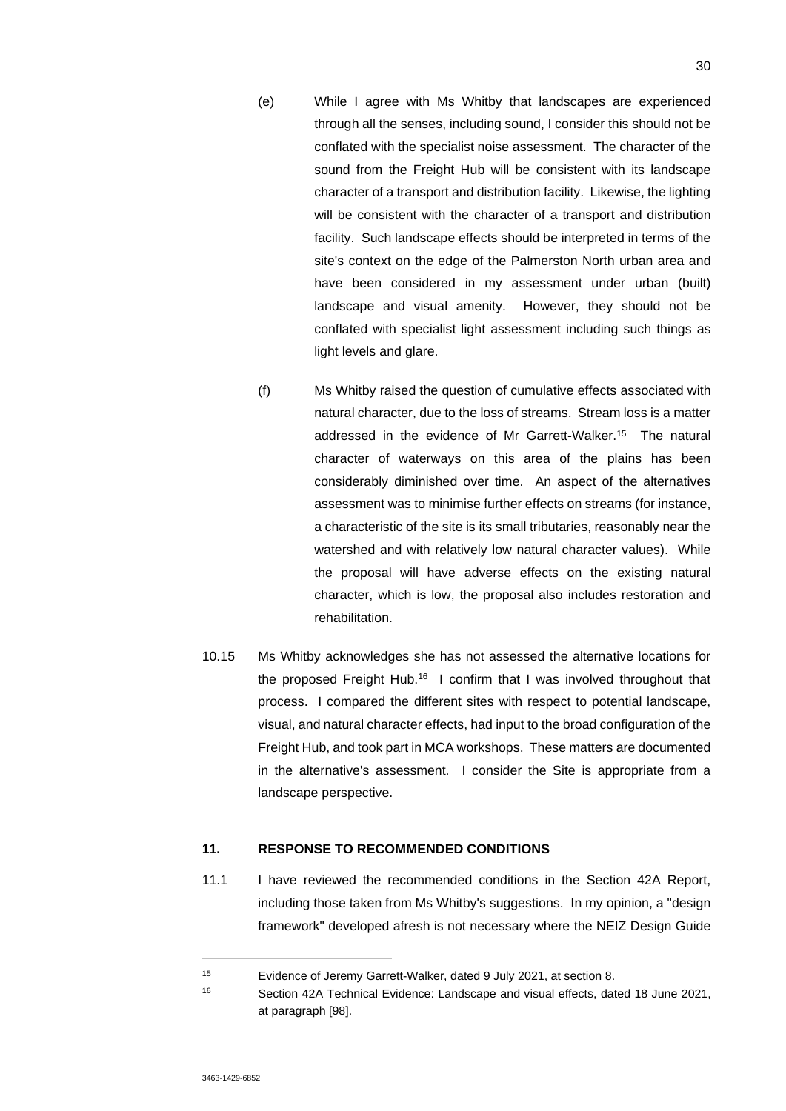- (e) While I agree with Ms Whitby that landscapes are experienced through all the senses, including sound, I consider this should not be conflated with the specialist noise assessment. The character of the sound from the Freight Hub will be consistent with its landscape character of a transport and distribution facility. Likewise, the lighting will be consistent with the character of a transport and distribution facility. Such landscape effects should be interpreted in terms of the site's context on the edge of the Palmerston North urban area and have been considered in my assessment under urban (built) landscape and visual amenity. However, they should not be conflated with specialist light assessment including such things as light levels and glare.
- (f) Ms Whitby raised the question of cumulative effects associated with natural character, due to the loss of streams. Stream loss is a matter addressed in the evidence of Mr Garrett-Walker.<sup>15</sup> The natural character of waterways on this area of the plains has been considerably diminished over time. An aspect of the alternatives assessment was to minimise further effects on streams (for instance, a characteristic of the site is its small tributaries, reasonably near the watershed and with relatively low natural character values). While the proposal will have adverse effects on the existing natural character, which is low, the proposal also includes restoration and rehabilitation.
- 10.15 Ms Whitby acknowledges she has not assessed the alternative locations for the proposed Freight Hub.<sup>16</sup> I confirm that I was involved throughout that process. I compared the different sites with respect to potential landscape, visual, and natural character effects, had input to the broad configuration of the Freight Hub, and took part in MCA workshops. These matters are documented in the alternative's assessment. I consider the Site is appropriate from a landscape perspective.

# **11. RESPONSE TO RECOMMENDED CONDITIONS**

11.1 I have reviewed the recommended conditions in the Section 42A Report, including those taken from Ms Whitby's suggestions. In my opinion, a "design framework" developed afresh is not necessary where the NEIZ Design Guide

<sup>15</sup> Evidence of Jeremy Garrett-Walker, dated 9 July 2021, at section 8.

<sup>16</sup> Section 42A Technical Evidence: Landscape and visual effects, dated 18 June 2021, at paragraph [98].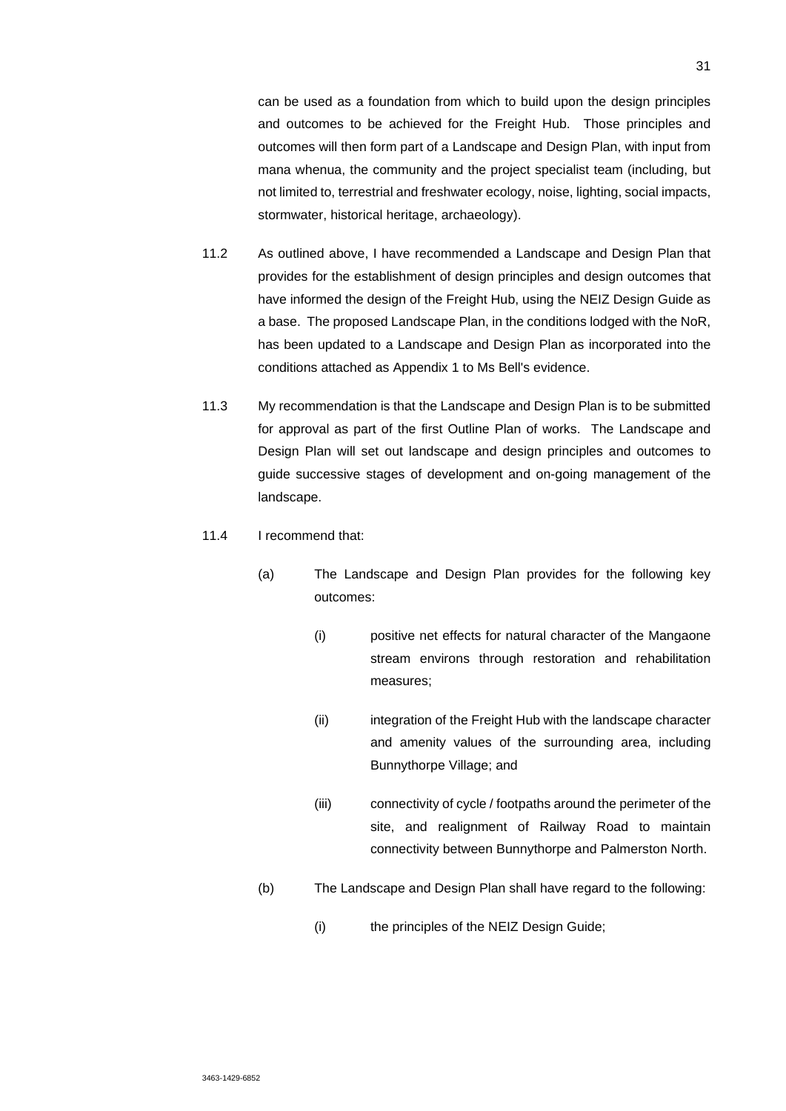can be used as a foundation from which to build upon the design principles and outcomes to be achieved for the Freight Hub. Those principles and outcomes will then form part of a Landscape and Design Plan, with input from mana whenua, the community and the project specialist team (including, but not limited to, terrestrial and freshwater ecology, noise, lighting, social impacts, stormwater, historical heritage, archaeology).

- 11.2 As outlined above, I have recommended a Landscape and Design Plan that provides for the establishment of design principles and design outcomes that have informed the design of the Freight Hub, using the NEIZ Design Guide as a base. The proposed Landscape Plan, in the conditions lodged with the NoR, has been updated to a Landscape and Design Plan as incorporated into the conditions attached as Appendix 1 to Ms Bell's evidence.
- 11.3 My recommendation is that the Landscape and Design Plan is to be submitted for approval as part of the first Outline Plan of works. The Landscape and Design Plan will set out landscape and design principles and outcomes to guide successive stages of development and on-going management of the landscape.
- 11.4 I recommend that:
	- (a) The Landscape and Design Plan provides for the following key outcomes:
		- (i) positive net effects for natural character of the Mangaone stream environs through restoration and rehabilitation measures;
		- (ii) integration of the Freight Hub with the landscape character and amenity values of the surrounding area, including Bunnythorpe Village; and
		- (iii) connectivity of cycle / footpaths around the perimeter of the site, and realignment of Railway Road to maintain connectivity between Bunnythorpe and Palmerston North.
	- (b) The Landscape and Design Plan shall have regard to the following:
		- (i) the principles of the NEIZ Design Guide;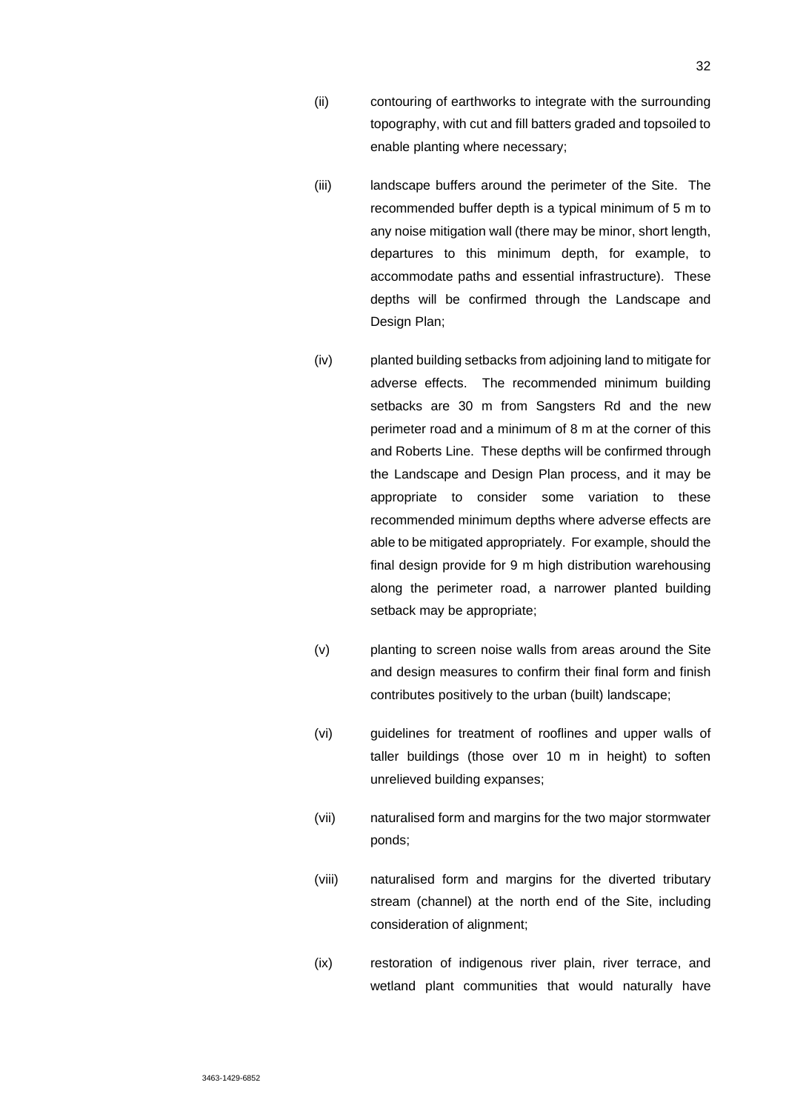- (ii) contouring of earthworks to integrate with the surrounding topography, with cut and fill batters graded and topsoiled to enable planting where necessary;
- (iii) landscape buffers around the perimeter of the Site. The recommended buffer depth is a typical minimum of 5 m to any noise mitigation wall (there may be minor, short length, departures to this minimum depth, for example, to accommodate paths and essential infrastructure). These depths will be confirmed through the Landscape and Design Plan;
- (iv) planted building setbacks from adjoining land to mitigate for adverse effects. The recommended minimum building setbacks are 30 m from Sangsters Rd and the new perimeter road and a minimum of 8 m at the corner of this and Roberts Line. These depths will be confirmed through the Landscape and Design Plan process, and it may be appropriate to consider some variation to these recommended minimum depths where adverse effects are able to be mitigated appropriately. For example, should the final design provide for 9 m high distribution warehousing along the perimeter road, a narrower planted building setback may be appropriate;
- (v) planting to screen noise walls from areas around the Site and design measures to confirm their final form and finish contributes positively to the urban (built) landscape;
- (vi) guidelines for treatment of rooflines and upper walls of taller buildings (those over 10 m in height) to soften unrelieved building expanses;
- (vii) naturalised form and margins for the two major stormwater ponds;
- (viii) naturalised form and margins for the diverted tributary stream (channel) at the north end of the Site, including consideration of alignment;
- (ix) restoration of indigenous river plain, river terrace, and wetland plant communities that would naturally have